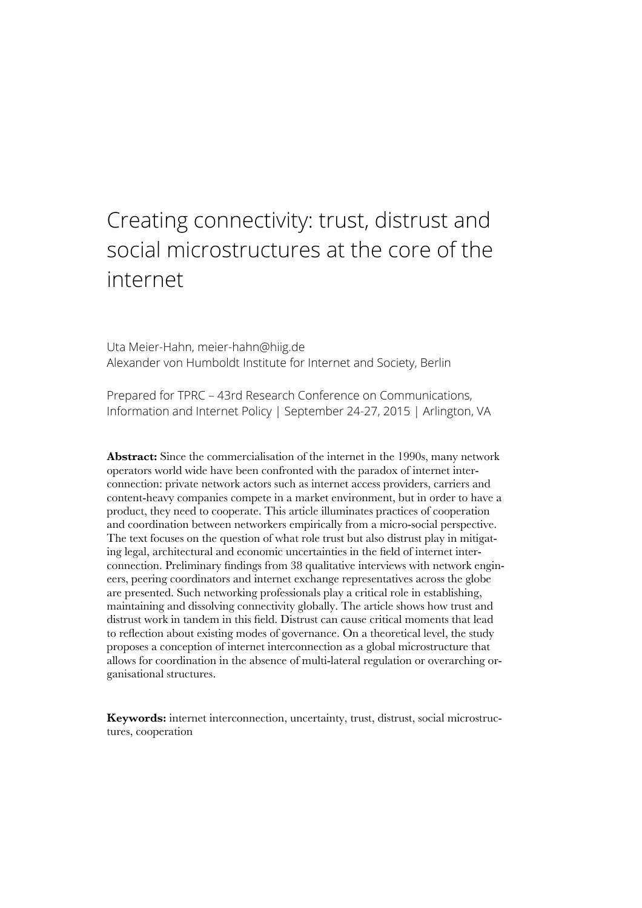# Creating connectivity: trust, distrust and social microstructures at the core of the internet

Uta Meier-Hahn, meier-hahn@hiig.de Alexander von Humboldt Institute for Internet and Society, Berlin

Prepared for TPRC – 43rd Research Conference on Communications, Information and Internet Policy | September 24-27, 2015 | Arlington, VA

**Abstract:** Since the commercialisation of the internet in the 1990s, many network operators world wide have been confronted with the paradox of internet interconnection: private network actors such as internet access providers, carriers and content-heavy companies compete in a market environment, but in order to have a product, they need to cooperate. This article illuminates practices of cooperation and coordination between networkers empirically from a micro-social perspective. The text focuses on the question of what role trust but also distrust play in mitigating legal, architectural and economic uncertainties in the field of internet interconnection. Preliminary findings from 38 qualitative interviews with network engineers, peering coordinators and internet exchange representatives across the globe are presented. Such networking professionals play a critical role in establishing, maintaining and dissolving connectivity globally. The article shows how trust and distrust work in tandem in this field. Distrust can cause critical moments that lead to reflection about existing modes of governance. On a theoretical level, the study proposes a conception of internet interconnection as a global microstructure that allows for coordination in the absence of multi-lateral regulation or overarching organisational structures.

**Keywords:** internet interconnection, uncertainty, trust, distrust, social microstructures, cooperation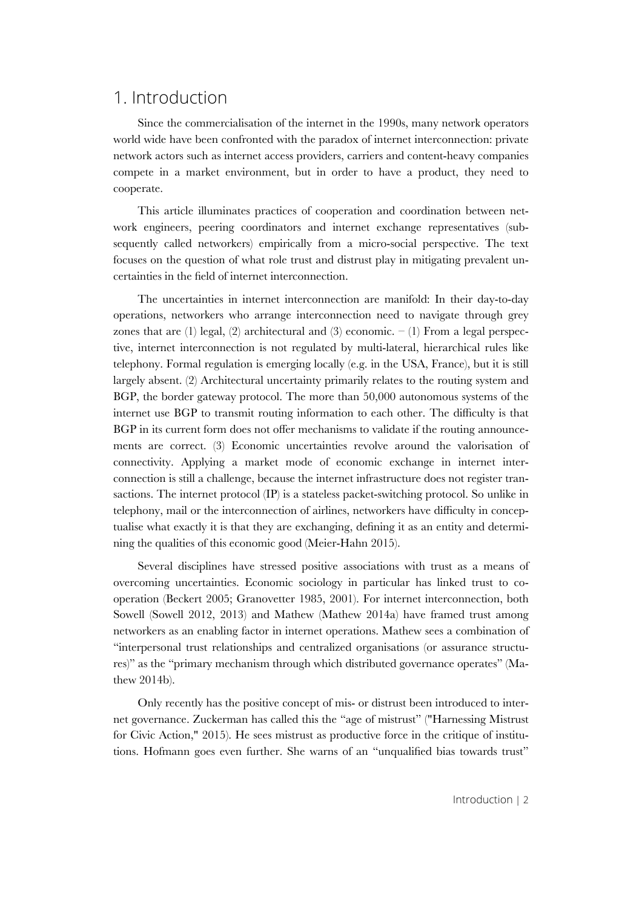## 1. Introduction

Since the commercialisation of the internet in the 1990s, many network operators world wide have been confronted with the paradox of internet interconnection: private network actors such as internet access providers, carriers and content-heavy companies compete in a market environment, but in order to have a product, they need to cooperate.

This article illuminates practices of cooperation and coordination between network engineers, peering coordinators and internet exchange representatives (subsequently called networkers) empirically from a micro-social perspective. The text focuses on the question of what role trust and distrust play in mitigating prevalent uncertainties in the field of internet interconnection.

The uncertainties in internet interconnection are manifold: In their day-to-day operations, networkers who arrange interconnection need to navigate through grey zones that are  $(1)$  legal,  $(2)$  architectural and  $(3)$  economic.  $- (1)$  From a legal perspective, internet interconnection is not regulated by multi-lateral, hierarchical rules like telephony. Formal regulation is emerging locally (e.g. in the USA, France), but it is still largely absent. (2) Architectural uncertainty primarily relates to the routing system and BGP, the border gateway protocol. The more than 50,000 autonomous systems of the internet use BGP to transmit routing information to each other. The difficulty is that BGP in its current form does not offer mechanisms to validate if the routing announcements are correct. (3) Economic uncertainties revolve around the valorisation of connectivity. Applying a market mode of economic exchange in internet interconnection is still a challenge, because the internet infrastructure does not register transactions. The internet protocol (IP) is a stateless packet-switching protocol. So unlike in telephony, mail or the interconnection of airlines, networkers have difficulty in conceptualise what exactly it is that they are exchanging, defining it as an entity and determining the qualities of this economic good (Meier-Hahn 2015).

Several disciplines have stressed positive associations with trust as a means of overcoming uncertainties. Economic sociology in particular has linked trust to cooperation (Beckert 2005; Granovetter 1985, 2001). For internet interconnection, both Sowell (Sowell 2012, 2013) and Mathew (Mathew 2014a) have framed trust among networkers as an enabling factor in internet operations. Mathew sees a combination of "interpersonal trust relationships and centralized organisations (or assurance structures)" as the "primary mechanism through which distributed governance operates" (Mathew 2014b).

Only recently has the positive concept of mis- or distrust been introduced to internet governance. Zuckerman has called this the "age of mistrust" ("Harnessing Mistrust for Civic Action," 2015). He sees mistrust as productive force in the critique of institutions. Hofmann goes even further. She warns of an "unqualified bias towards trust"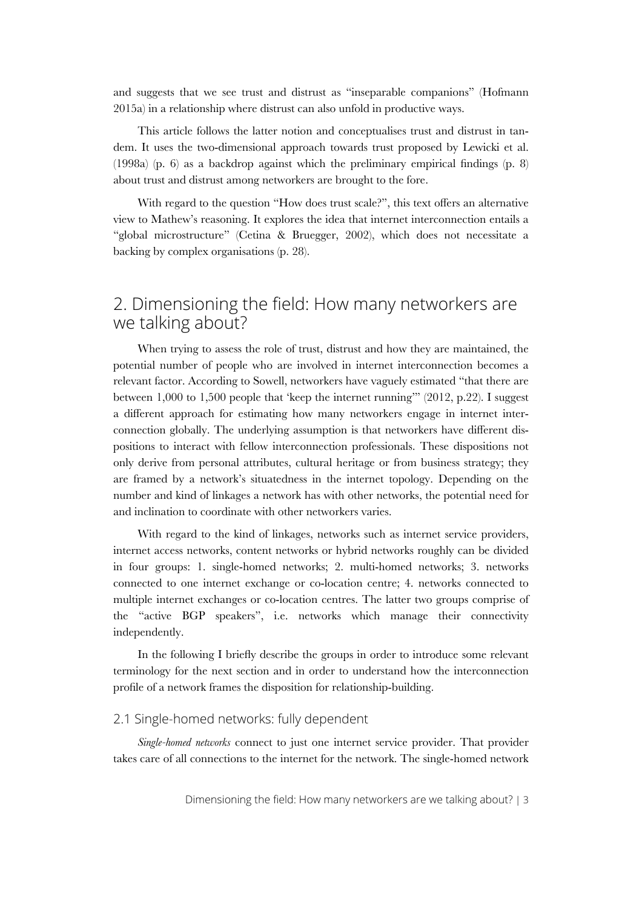and suggests that we see trust and distrust as "inseparable companions" (Hofmann 2015a) in a relationship where distrust can also unfold in productive ways.

This article follows the latter notion and conceptualises trust and distrust in tandem. It uses the two-dimensional approach towards trust proposed by Lewicki et al. (1998a) (p. [6](#page-5-0)) as a backdrop against which the preliminary empirical findings (p. [8](#page-7-0)) about trust and distrust among networkers are brought to the fore.

With regard to the question "How does trust scale?", this text offers an alternative view to Mathew's reasoning. It explores the idea that internet interconnection entails a "global microstructure" (Cetina & Bruegger, 2002), which does not necessitate a backing by complex organisations (p. [28\)](#page-27-0).

# <span id="page-2-0"></span>2. Dimensioning the field: How many networkers are we talking about?

When trying to assess the role of trust, distrust and how they are maintained, the potential number of people who are involved in internet interconnection becomes a relevant factor. According to Sowell, networkers have vaguely estimated "that there are between 1,000 to 1,500 people that 'keep the internet running'" (2012, p.22). I suggest a different approach for estimating how many networkers engage in internet interconnection globally. The underlying assumption is that networkers have different dispositions to interact with fellow interconnection professionals. These dispositions not only derive from personal attributes, cultural heritage or from business strategy; they are framed by a network's situatedness in the internet topology. Depending on the number and kind of linkages a network has with other networks, the potential need for and inclination to coordinate with other networkers varies.

With regard to the kind of linkages, networks such as internet service providers, internet access networks, content networks or hybrid networks roughly can be divided in four groups: 1. single-homed networks; 2. multi-homed networks; 3. networks connected to one internet exchange or co-location centre; 4. networks connected to multiple internet exchanges or co-location centres. The latter two groups comprise of the "active BGP speakers", i.e. networks which manage their connectivity independently.

In the following I briefly describe the groups in order to introduce some relevant terminology for the next section and in order to understand how the interconnection profile of a network frames the disposition for relationship-building.

#### 2.1 Single-homed networks: fully dependent

*Single-homed networks* connect to just one internet service provider. That provider takes care of all connections to the internet for the network. The single-homed network

Dimensioning the field: How many networkers are we talking about? | 3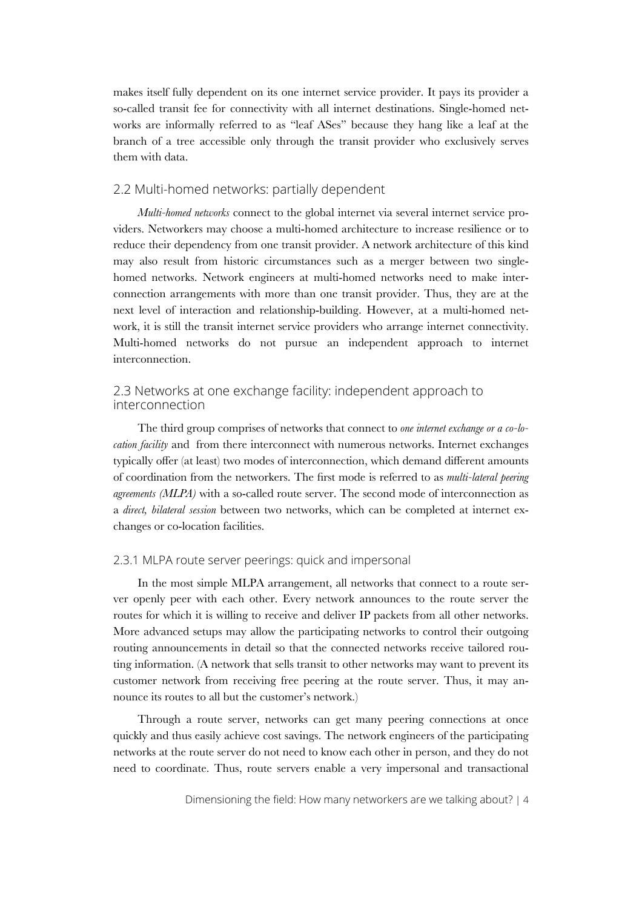makes itself fully dependent on its one internet service provider. It pays its provider a so-called transit fee for connectivity with all internet destinations. Single-homed networks are informally referred to as "leaf ASes" because they hang like a leaf at the branch of a tree accessible only through the transit provider who exclusively serves them with data.

#### 2.2 Multi-homed networks: partially dependent

*Multi-homed networks* connect to the global internet via several internet service providers. Networkers may choose a multi-homed architecture to increase resilience or to reduce their dependency from one transit provider. A network architecture of this kind may also result from historic circumstances such as a merger between two singlehomed networks. Network engineers at multi-homed networks need to make interconnection arrangements with more than one transit provider. Thus, they are at the next level of interaction and relationship-building. However, at a multi-homed network, it is still the transit internet service providers who arrange internet connectivity. Multi-homed networks do not pursue an independent approach to internet interconnection.

#### 2.3 Networks at one exchange facility: independent approach to interconnection

The third group comprises of networks that connect to *one internet exchange or a co-location facility* and from there interconnect with numerous networks. Internet exchanges typically offer (at least) two modes of interconnection, which demand different amounts of coordination from the networkers. The first mode is referred to as *multi-lateral peering agreements (MLPA)* with a so-called route server. The second mode of interconnection as a *direct, bilateral session* between two networks, which can be completed at internet exchanges or co-location facilities.

#### 2.3.1 MLPA route server peerings: quick and impersonal

<span id="page-3-0"></span>In the most simple MLPA arrangement, all networks that connect to a route server openly peer with each other. Every network announces to the route server the routes for which it is willing to receive and deliver IP packets from all other networks. More advanced setups may allow the participating networks to control their outgoing routing announcements in detail so that the connected networks receive tailored routing information. (A network that sells transit to other networks may want to prevent its customer network from receiving free peering at the route server. Thus, it may announce its routes to all but the customer's network.)

Through a route server, networks can get many peering connections at once quickly and thus easily achieve cost savings. The network engineers of the participating networks at the route server do not need to know each other in person, and they do not need to coordinate. Thus, route servers enable a very impersonal and transactional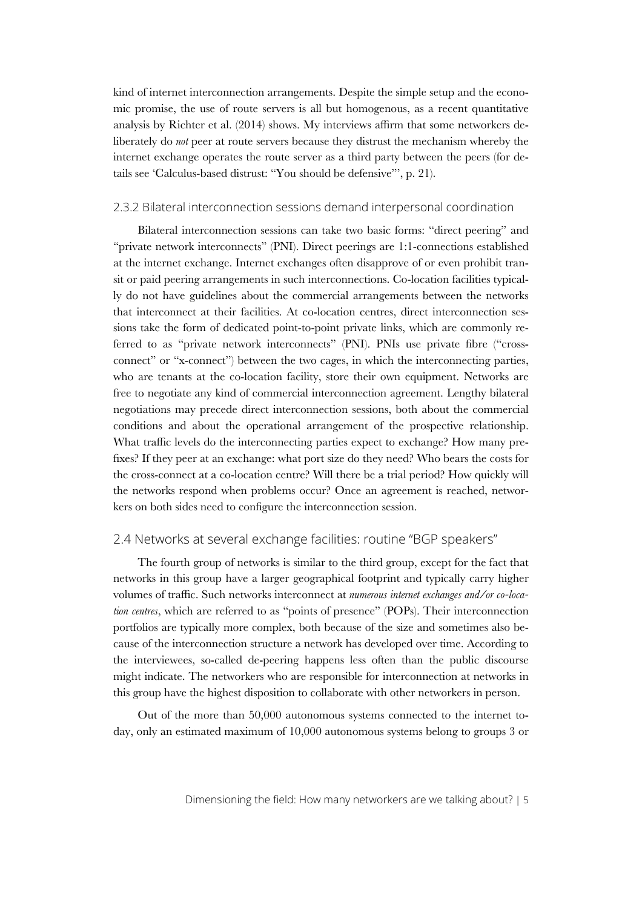kind of internet interconnection arrangements. Despite the simple setup and the economic promise, the use of route servers is all but homogenous, as a recent quantitative analysis by Richter et al. (2014) shows. My interviews affirm that some networkers deliberately do *not* peer at route servers because they distrust the mechanism whereby the internet exchange operates the route server as a third party between the peers [\(for](#page-20-0) de[tails see 'Calculus-based distrust: "You should be defensive"', p. 21\)](#page-20-0).

#### <span id="page-4-0"></span>2.3.2 Bilateral interconnection sessions demand interpersonal coordination

Bilateral interconnection sessions can take two basic forms: "direct peering" and "private network interconnects" (PNI). Direct peerings are 1:1-connections established at the internet exchange. Internet exchanges often disapprove of or even prohibit transit or paid peering arrangements in such interconnections. Co-location facilities typically do not have guidelines about the commercial arrangements between the networks that interconnect at their facilities. At co-location centres, direct interconnection sessions take the form of dedicated point-to-point private links, which are commonly referred to as "private network interconnects" (PNI). PNIs use private fibre ("crossconnect" or "x-connect") between the two cages, in which the interconnecting parties, who are tenants at the co-location facility, store their own equipment. Networks are free to negotiate any kind of commercial interconnection agreement. Lengthy bilateral negotiations may precede direct interconnection sessions, both about the commercial conditions and about the operational arrangement of the prospective relationship. What traffic levels do the interconnecting parties expect to exchange? How many prefixes? If they peer at an exchange: what port size do they need? Who bears the costs for the cross-connect at a co-location centre? Will there be a trial period? How quickly will the networks respond when problems occur? Once an agreement is reached, networkers on both sides need to configure the interconnection session.

#### 2.4 Networks at several exchange facilities: routine "BGP speakers"

The fourth group of networks is similar to the third group, except for the fact that networks in this group have a larger geographical footprint and typically carry higher volumes of traffic. Such networks interconnect at *numerous internet exchanges and/or co-location centres*, which are referred to as "points of presence" (POPs). Their interconnection portfolios are typically more complex, both because of the size and sometimes also because of the interconnection structure a network has developed over time. According to the interviewees, so-called de-peering happens less often than the public discourse might indicate. The networkers who are responsible for interconnection at networks in this group have the highest disposition to collaborate with other networkers in person.

Out of the more than 50,000 autonomous systems connected to the internet today, only an estimated maximum of 10,000 autonomous systems belong to groups 3 or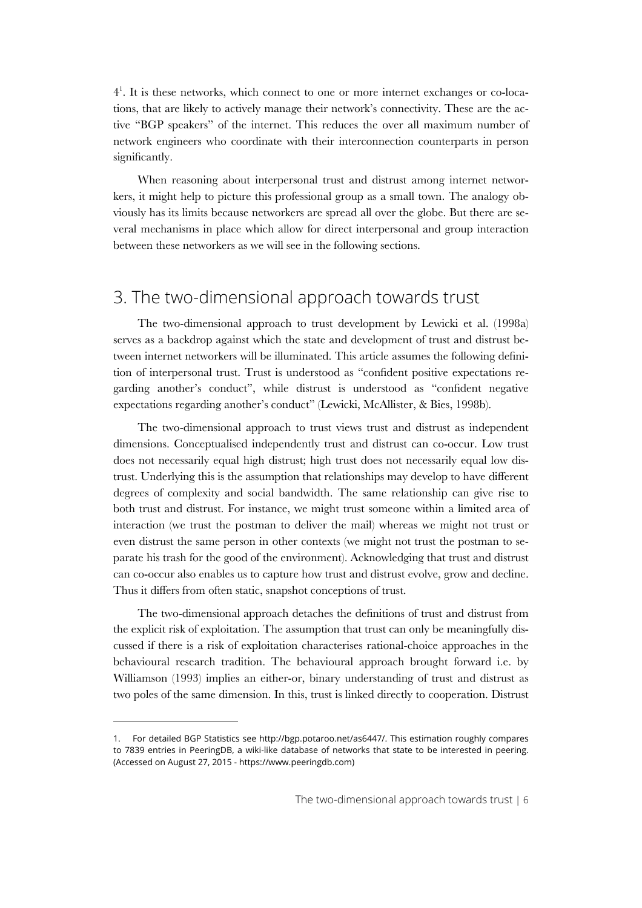41 . It is these networks, which connect to one or more internet exchanges or co-locations, that are likely to actively manage their network's connectivity. These are the active "BGP speakers" of the internet. This reduces the over all maximum number of network engineers who coordinate with their interconnection counterparts in person significantly.

When reasoning about interpersonal trust and distrust among internet networkers, it might help to picture this professional group as a small town. The analogy obviously has its limits because networkers are spread all over the globe. But there are several mechanisms in place which allow for direct interpersonal and group interaction between these networkers as we will see in the following sections.

# <span id="page-5-0"></span>3. The two-dimensional approach towards trust

The two-dimensional approach to trust development by Lewicki et al. (1998a) serves as a backdrop against which the state and development of trust and distrust between internet networkers will be illuminated. This article assumes the following definition of interpersonal trust. Trust is understood as "confident positive expectations regarding another's conduct", while distrust is understood as "confident negative expectations regarding another's conduct" (Lewicki, McAllister, & Bies, 1998b).

The two-dimensional approach to trust views trust and distrust as independent dimensions. Conceptualised independently trust and distrust can co-occur. Low trust does not necessarily equal high distrust; high trust does not necessarily equal low distrust. Underlying this is the assumption that relationships may develop to have different degrees of complexity and social bandwidth. The same relationship can give rise to both trust and distrust. For instance, we might trust someone within a limited area of interaction (we trust the postman to deliver the mail) whereas we might not trust or even distrust the same person in other contexts (we might not trust the postman to separate his trash for the good of the environment). Acknowledging that trust and distrust can co-occur also enables us to capture how trust and distrust evolve, grow and decline. Thus it differs from often static, snapshot conceptions of trust.

The two-dimensional approach detaches the definitions of trust and distrust from the explicit risk of exploitation. The assumption that trust can only be meaningfully discussed if there is a risk of exploitation characterises rational-choice approaches in the behavioural research tradition. The behavioural approach brought forward i.e. by Williamson (1993) implies an either-or, binary understanding of trust and distrust as two poles of the same dimension. In this, trust is linked directly to cooperation. Distrust

<sup>1.</sup> For detailed BGP Statistics see http://bgp.potaroo.net/as6447/. This estimation roughly compares to 7839 entries in PeeringDB, a wiki-like database of networks that state to be interested in peering. (Accessed on August 27, 2015 - https://www.peeringdb.com)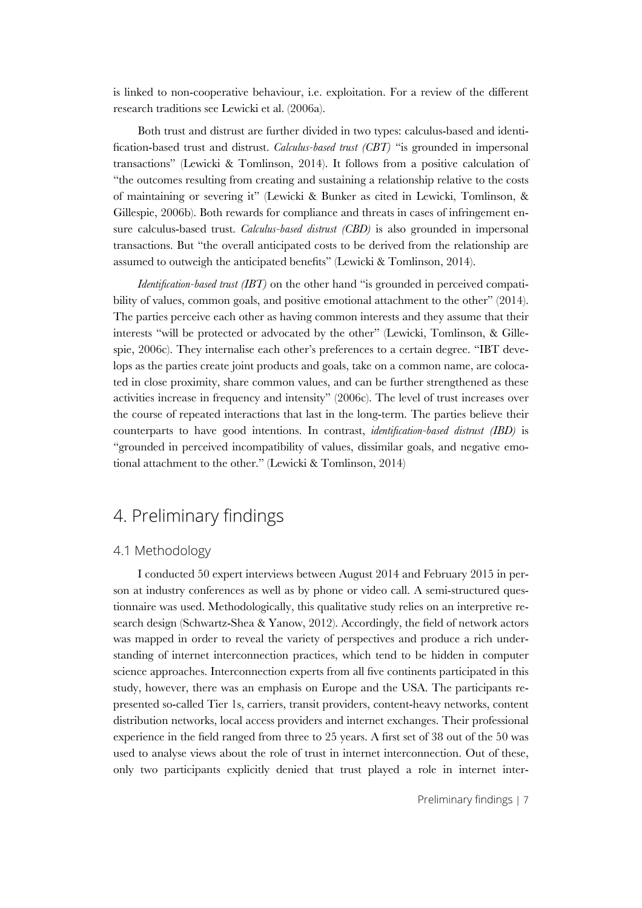is linked to non-cooperative behaviour, i.e. exploitation. For a review of the different research traditions see Lewicki et al. (2006a).

Both trust and distrust are further divided in two types: calculus-based and identification-based trust and distrust. *Calculus-based trust (CBT)* "is grounded in impersonal transactions" (Lewicki & Tomlinson, 2014). It follows from a positive calculation of "the outcomes resulting from creating and sustaining a relationship relative to the costs of maintaining or severing it" (Lewicki & Bunker as cited in Lewicki, Tomlinson, & Gillespie, 2006b). Both rewards for compliance and threats in cases of infringement ensure calculus-based trust. *Calculus-based distrust (CBD)* is also grounded in impersonal transactions. But "the overall anticipated costs to be derived from the relationship are assumed to outweigh the anticipated benefits" (Lewicki & Tomlinson, 2014).

*Identification-based trust (IBT)* on the other hand "is grounded in perceived compatibility of values, common goals, and positive emotional attachment to the other" (2014). The parties perceive each other as having common interests and they assume that their interests "will be protected or advocated by the other" (Lewicki, Tomlinson, & Gillespie, 2006c). They internalise each other's preferences to a certain degree. "IBT develops as the parties create joint products and goals, take on a common name, are colocated in close proximity, share common values, and can be further strengthened as these activities increase in frequency and intensity" (2006c). The level of trust increases over the course of repeated interactions that last in the long-term. The parties believe their counterparts to have good intentions. In contrast, *identification-based distrust (IBD)* is "grounded in perceived incompatibility of values, dissimilar goals, and negative emotional attachment to the other." (Lewicki & Tomlinson, 2014)

# 4. Preliminary findings

#### 4.1 Methodology

I conducted 50 expert interviews between August 2014 and February 2015 in person at industry conferences as well as by phone or video call. A semi-structured questionnaire was used. Methodologically, this qualitative study relies on an interpretive research design (Schwartz-Shea & Yanow, 2012). Accordingly, the field of network actors was mapped in order to reveal the variety of perspectives and produce a rich understanding of internet interconnection practices, which tend to be hidden in computer science approaches. Interconnection experts from all five continents participated in this study, however, there was an emphasis on Europe and the USA. The participants represented so-called Tier 1s, carriers, transit providers, content-heavy networks, content distribution networks, local access providers and internet exchanges. Their professional experience in the field ranged from three to 25 years. A first set of 38 out of the 50 was used to analyse views about the role of trust in internet interconnection. Out of these, only two participants explicitly denied that trust played a role in internet inter-

Preliminary findings | 7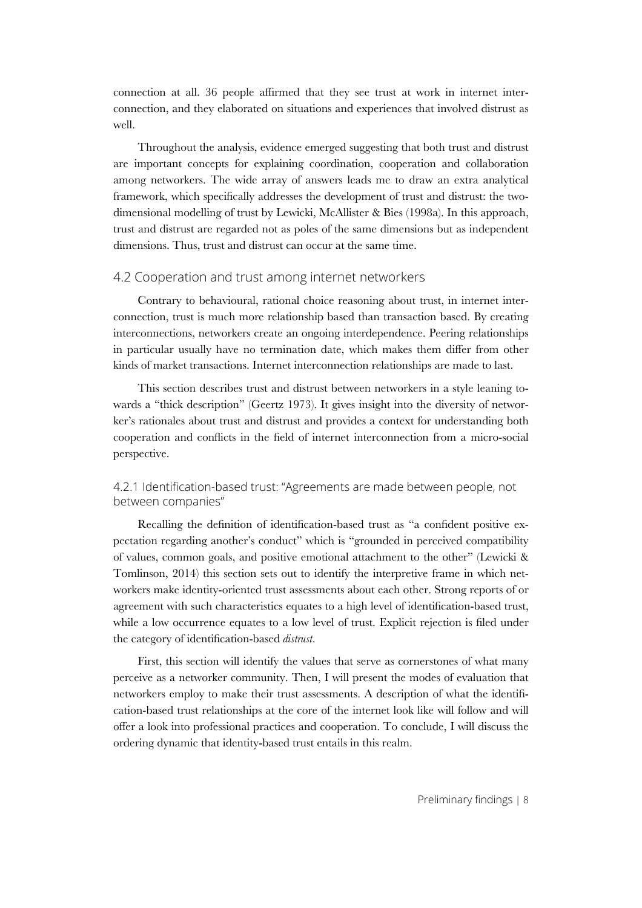connection at all. 36 people affirmed that they see trust at work in internet interconnection, and they elaborated on situations and experiences that involved distrust as well.

Throughout the analysis, evidence emerged suggesting that both trust and distrust are important concepts for explaining coordination, cooperation and collaboration among networkers. The wide array of answers leads me to draw an extra analytical framework, which specifically addresses the development of trust and distrust: the twodimensional modelling of trust by Lewicki, McAllister & Bies (1998a). In this approach, trust and distrust are regarded not as poles of the same dimensions but as independent dimensions. Thus, trust and distrust can occur at the same time.

#### <span id="page-7-0"></span>4.2 Cooperation and trust among internet networkers

Contrary to behavioural, rational choice reasoning about trust, in internet interconnection, trust is much more relationship based than transaction based. By creating interconnections, networkers create an ongoing interdependence. Peering relationships in particular usually have no termination date, which makes them differ from other kinds of market transactions. Internet interconnection relationships are made to last.

This section describes trust and distrust between networkers in a style leaning towards a "thick description" (Geertz 1973). It gives insight into the diversity of networker's rationales about trust and distrust and provides a context for understanding both cooperation and conflicts in the field of internet interconnection from a micro-social perspective.

#### <span id="page-7-1"></span>4.2.1 Identification-based trust: "Agreements are made between people, not between companies"

Recalling the definition of identification-based trust as "a confident positive expectation regarding another's conduct" which is "grounded in perceived compatibility of values, common goals, and positive emotional attachment to the other" (Lewicki & Tomlinson, 2014) this section sets out to identify the interpretive frame in which networkers make identity-oriented trust assessments about each other. Strong reports of or agreement with such characteristics equates to a high level of identification-based trust, while a low occurrence equates to a low level of trust. Explicit rejection is filed under the category of identification-based *distrust*.

First, this section will identify the values that serve as cornerstones of what many perceive as a networker community. Then, I will present the modes of evaluation that networkers employ to make their trust assessments. A description of what the identification-based trust relationships at the core of the internet look like will follow and will offer a look into professional practices and cooperation. To conclude, I will discuss the ordering dynamic that identity-based trust entails in this realm.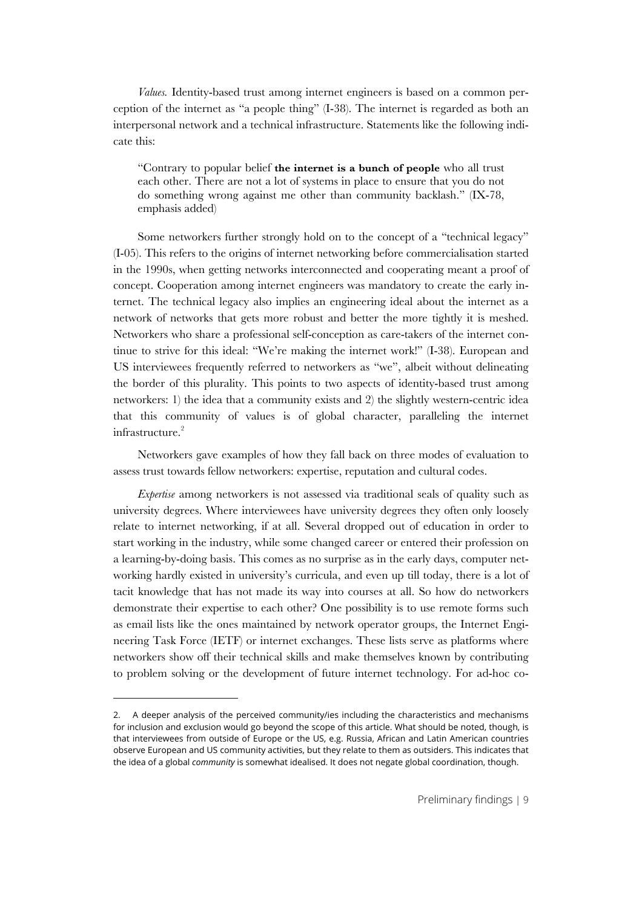*Values.* Identity-based trust among internet engineers is based on a common perception of the internet as "a people thing" (I-38). The internet is regarded as both an interpersonal network and a technical infrastructure. Statements like the following indicate this:

"Contrary to popular belief **the internet is a bunch of people** who all trust each other. There are not a lot of systems in place to ensure that you do not do something wrong against me other than community backlash." (IX-78, emphasis added)

Some networkers further strongly hold on to the concept of a "technical legacy" (I-05). This refers to the origins of internet networking before commercialisation started in the 1990s, when getting networks interconnected and cooperating meant a proof of concept. Cooperation among internet engineers was mandatory to create the early internet. The technical legacy also implies an engineering ideal about the internet as a network of networks that gets more robust and better the more tightly it is meshed. Networkers who share a professional self-conception as care-takers of the internet continue to strive for this ideal: "We're making the internet work!" (I-38). European and US interviewees frequently referred to networkers as "we", albeit without delineating the border of this plurality. This points to two aspects of identity-based trust among networkers: 1) the idea that a community exists and 2) the slightly western-centric idea that this community of values is of global character, paralleling the internet infrastructure.<sup>2</sup>

Networkers gave examples of how they fall back on three modes of evaluation to assess trust towards fellow networkers: expertise, reputation and cultural codes.

*Expertise* among networkers is not assessed via traditional seals of quality such as university degrees. Where interviewees have university degrees they often only loosely relate to internet networking, if at all. Several dropped out of education in order to start working in the industry, while some changed career or entered their profession on a learning-by-doing basis. This comes as no surprise as in the early days, computer networking hardly existed in university's curricula, and even up till today, there is a lot of tacit knowledge that has not made its way into courses at all. So how do networkers demonstrate their expertise to each other? One possibility is to use remote forms such as email lists like the ones maintained by network operator groups, the Internet Engineering Task Force (IETF) or internet exchanges. These lists serve as platforms where networkers show off their technical skills and make themselves known by contributing to problem solving or the development of future internet technology. For ad-hoc co-

<sup>2.</sup> A deeper analysis of the perceived community/ies including the characteristics and mechanisms for inclusion and exclusion would go beyond the scope of this article. What should be noted, though, is that interviewees from outside of Europe or the US, e.g. Russia, African and Latin American countries observe European and US community activities, but they relate to them as outsiders. This indicates that the idea of a global *community* is somewhat idealised. It does not negate global coordination, though.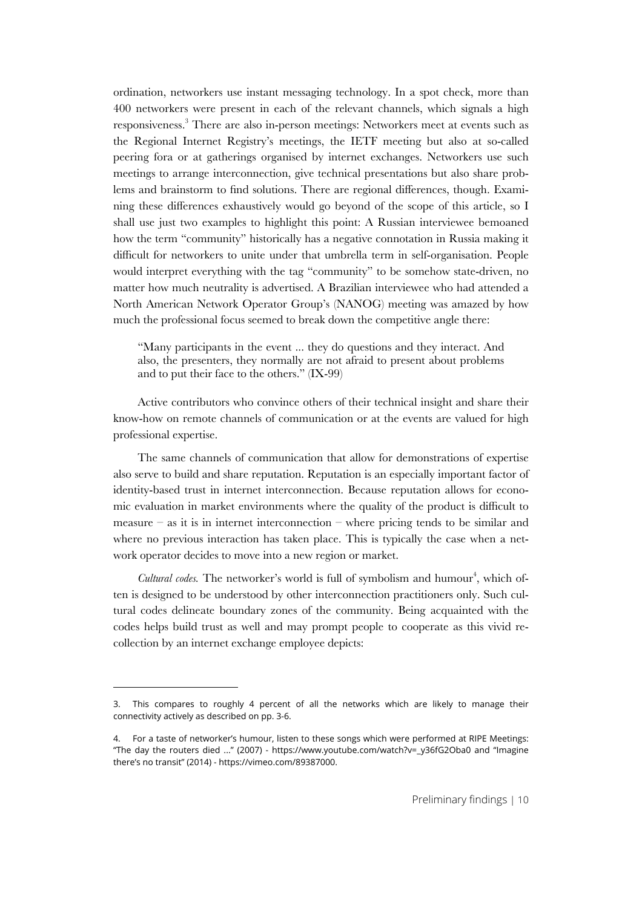ordination, networkers use instant messaging technology. In a spot check, more than 400 networkers were present in each of the relevant channels, which signals a high responsiveness.3 There are also in-person meetings: Networkers meet at events such as the Regional Internet Registry's meetings, the IETF meeting but also at so-called peering fora or at gatherings organised by internet exchanges. Networkers use such meetings to arrange interconnection, give technical presentations but also share problems and brainstorm to find solutions. There are regional differences, though. Examining these differences exhaustively would go beyond of the scope of this article, so I shall use just two examples to highlight this point: A Russian interviewee bemoaned how the term "community" historically has a negative connotation in Russia making it difficult for networkers to unite under that umbrella term in self-organisation. People would interpret everything with the tag "community" to be somehow state-driven, no matter how much neutrality is advertised. A Brazilian interviewee who had attended a North American Network Operator Group's (NANOG) meeting was amazed by how much the professional focus seemed to break down the competitive angle there:

"Many participants in the event ... they do questions and they interact. And also, the presenters, they normally are not afraid to present about problems and to put their face to the others." (IX-99)

Active contributors who convince others of their technical insight and share their know-how on remote channels of communication or at the events are valued for high professional expertise.

The same channels of communication that allow for demonstrations of expertise also serve to build and share reputation. Reputation is an especially important factor of identity-based trust in internet interconnection. Because reputation allows for economic evaluation in market environments where the quality of the product is difficult to measure  $-$  as it is in internet interconnection  $-$  where pricing tends to be similar and where no previous interaction has taken place. This is typically the case when a network operator decides to move into a new region or market.

Cultural codes. The networker's world is full of symbolism and humour<sup>4</sup>, which often is designed to be understood by other interconnection practitioners only. Such cultural codes delineate boundary zones of the community. Being acquainted with the codes helps build trust as well and may prompt people to cooperate as this vivid recollection by an internet exchange employee depicts:

<sup>3.</sup> This compares to roughly 4 percent of all the networks which are likely to manage their connectivity actively as described on pp. [3-6.](#page-2-0)

<sup>4.</sup> For a taste of networker's humour, listen to these songs which were performed at RIPE Meetings: "The day the routers died ..." (2007) - https://www.youtube.com/watch?v=\_y36fG2Oba0 and "Imagine there's no transit" (2014) - https://vimeo.com/89387000.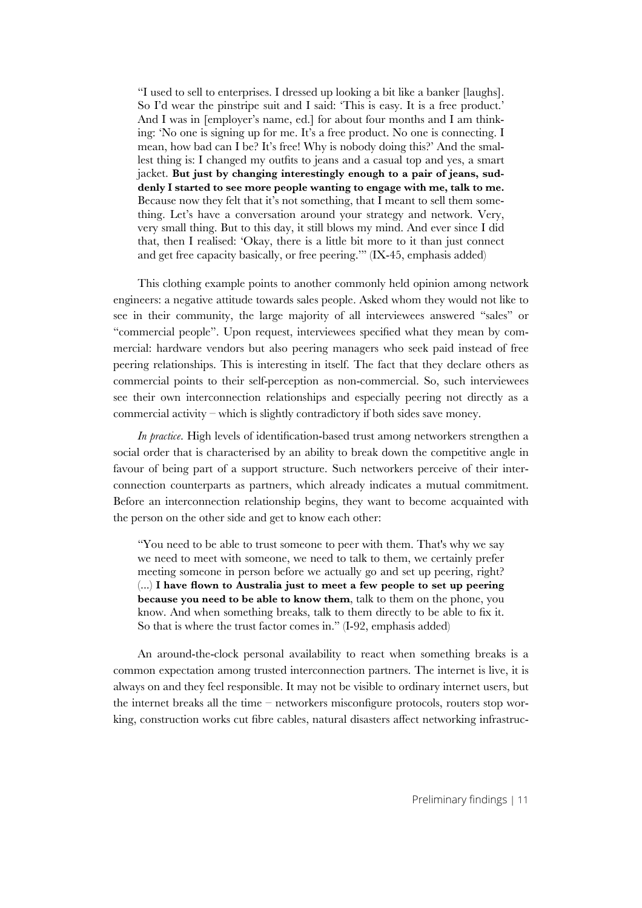"I used to sell to enterprises. I dressed up looking a bit like a banker [laughs]. So I'd wear the pinstripe suit and I said: 'This is easy. It is a free product.' And I was in [employer's name, ed.] for about four months and I am thinking: 'No one is signing up for me. It's a free product. No one is connecting. I mean, how bad can I be? It's free! Why is nobody doing this?' And the smallest thing is: I changed my outfits to jeans and a casual top and yes, a smart jacket. **But just by changing interestingly enough to a pair of jeans, suddenly I started to see more people wanting to engage with me, talk to me.** Because now they felt that it's not something, that I meant to sell them something. Let's have a conversation around your strategy and network. Very, very small thing. But to this day, it still blows my mind. And ever since I did that, then I realised: 'Okay, there is a little bit more to it than just connect and get free capacity basically, or free peering.'" (IX-45, emphasis added)

This clothing example points to another commonly held opinion among network engineers: a negative attitude towards sales people. Asked whom they would not like to see in their community, the large majority of all interviewees answered "sales" or "commercial people". Upon request, interviewees specified what they mean by commercial: hardware vendors but also peering managers who seek paid instead of free peering relationships. This is interesting in itself. The fact that they declare others as commercial points to their self-perception as non-commercial. So, such interviewees see their own interconnection relationships and especially peering not directly as a commercial activity – which is slightly contradictory if both sides save money.

*In practice*. High levels of identification-based trust among networkers strengthen a social order that is characterised by an ability to break down the competitive angle in favour of being part of a support structure. Such networkers perceive of their interconnection counterparts as partners, which already indicates a mutual commitment. Before an interconnection relationship begins, they want to become acquainted with the person on the other side and get to know each other:

"You need to be able to trust someone to peer with them. That's why we say we need to meet with someone, we need to talk to them, we certainly prefer meeting someone in person before we actually go and set up peering, right? (...) **I have flown to Australia just to meet a few people to set up peering because you need to be able to know them**, talk to them on the phone, you know. And when something breaks, talk to them directly to be able to fix it. So that is where the trust factor comes in." (I-92, emphasis added)

An around-the-clock personal availability to react when something breaks is a common expectation among trusted interconnection partners. The internet is live, it is always on and they feel responsible. It may not be visible to ordinary internet users, but the internet breaks all the time – networkers misconfigure protocols, routers stop working, construction works cut fibre cables, natural disasters affect networking infrastruc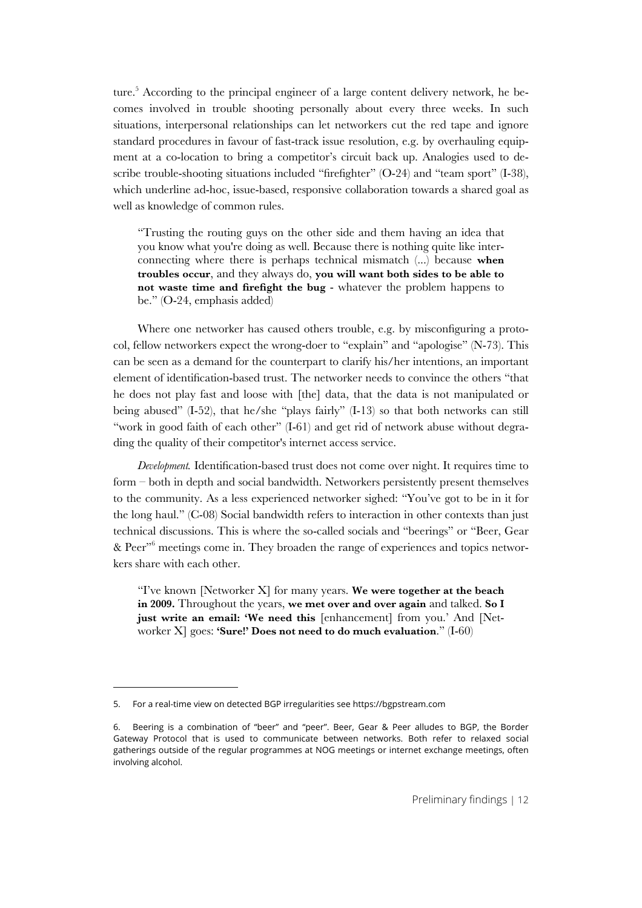ture.<sup>5</sup> According to the principal engineer of a large content delivery network, he becomes involved in trouble shooting personally about every three weeks. In such situations, interpersonal relationships can let networkers cut the red tape and ignore standard procedures in favour of fast-track issue resolution, e.g. by overhauling equipment at a co-location to bring a competitor's circuit back up. Analogies used to describe trouble-shooting situations included "firefighter" (O-24) and "team sport" (I-38), which underline ad-hoc, issue-based, responsive collaboration towards a shared goal as well as knowledge of common rules.

"Trusting the routing guys on the other side and them having an idea that you know what you're doing as well. Because there is nothing quite like interconnecting where there is perhaps technical mismatch (...) because **when troubles occur**, and they always do, **you will want both sides to be able to not waste time and firefight the bug** - whatever the problem happens to be." (O-24, emphasis added)

Where one networker has caused others trouble, e.g. by misconfiguring a protocol, fellow networkers expect the wrong-doer to "explain" and "apologise" (N-73). This can be seen as a demand for the counterpart to clarify his/her intentions, an important element of identification-based trust. The networker needs to convince the others "that he does not play fast and loose with [the] data, that the data is not manipulated or being abused" (I-52), that he/she "plays fairly" (I-13) so that both networks can still "work in good faith of each other" (I-61) and get rid of network abuse without degrading the quality of their competitor's internet access service.

*Development.* Identification-based trust does not come over night. It requires time to form – both in depth and social bandwidth. Networkers persistently present themselves to the community. As a less experienced networker sighed: "You've got to be in it for the long haul." (C-08) Social bandwidth refers to interaction in other contexts than just technical discussions. This is where the so-called socials and "beerings" or "Beer, Gear & Peer"6 meetings come in. They broaden the range of experiences and topics networkers share with each other.

"I've known [Networker X] for many years. **We were together at the beach in 2009.** Throughout the years, **we met over and over again** and talked. **So I just write an email: 'We need this** [enhancement] from you.' And [Networker X] goes: **'Sure!' Does not need to do much evaluation**." (I-60)

<sup>5.</sup> For a real-time view on detected BGP irregularities see https://bgpstream.com

<sup>6.</sup> Beering is a combination of "beer" and "peer". Beer, Gear & Peer alludes to BGP, the Border Gateway Protocol that is used to communicate between networks. Both refer to relaxed social gatherings outside of the regular programmes at NOG meetings or internet exchange meetings, often involving alcohol.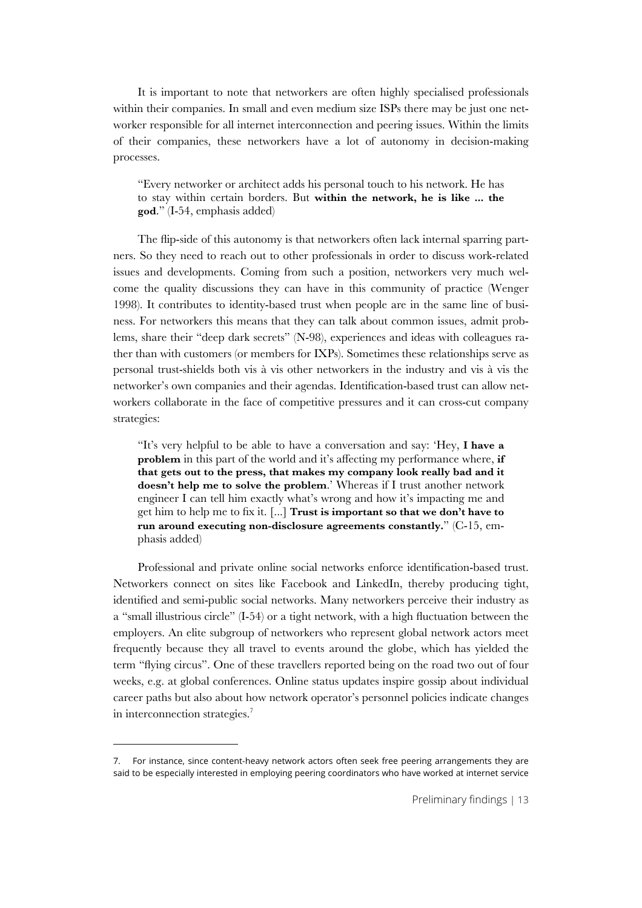It is important to note that networkers are often highly specialised professionals within their companies. In small and even medium size ISPs there may be just one networker responsible for all internet interconnection and peering issues. Within the limits of their companies, these networkers have a lot of autonomy in decision-making processes.

"Every networker or architect adds his personal touch to his network. He has to stay within certain borders. But **within the network, he is like ... the god**." (I-54, emphasis added)

The flip-side of this autonomy is that networkers often lack internal sparring partners. So they need to reach out to other professionals in order to discuss work-related issues and developments. Coming from such a position, networkers very much welcome the quality discussions they can have in this community of practice (Wenger 1998). It contributes to identity-based trust when people are in the same line of business. For networkers this means that they can talk about common issues, admit problems, share their "deep dark secrets" (N-98), experiences and ideas with colleagues rather than with customers (or members for IXPs). Sometimes these relationships serve as personal trust-shields both vis à vis other networkers in the industry and vis à vis the networker's own companies and their agendas. Identification-based trust can allow networkers collaborate in the face of competitive pressures and it can cross-cut company strategies:

"It's very helpful to be able to have a conversation and say: 'Hey, **I have a problem** in this part of the world and it's affecting my performance where, **if that gets out to the press, that makes my company look really bad and it doesn't help me to solve the problem**.' Whereas if I trust another network engineer I can tell him exactly what's wrong and how it's impacting me and get him to help me to fix it. [...] **Trust is important so that we don't have to run around executing non-disclosure agreements constantly.**" (C-15, emphasis added)

Professional and private online social networks enforce identification-based trust. Networkers connect on sites like Facebook and LinkedIn, thereby producing tight, identified and semi-public social networks. Many networkers perceive their industry as a "small illustrious circle" (I-54) or a tight network, with a high fluctuation between the employers. An elite subgroup of networkers who represent global network actors meet frequently because they all travel to events around the globe, which has yielded the term "flying circus". One of these travellers reported being on the road two out of four weeks, e.g. at global conferences. Online status updates inspire gossip about individual career paths but also about how network operator's personnel policies indicate changes in interconnection strategies.<sup>7</sup>

<sup>7.</sup> For instance, since content-heavy network actors often seek free peering arrangements they are said to be especially interested in employing peering coordinators who have worked at internet service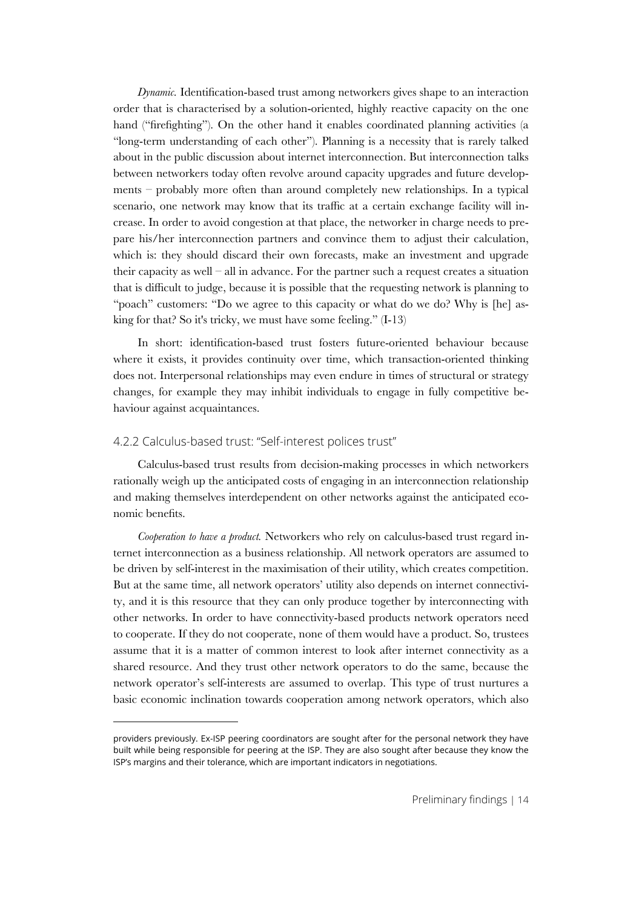*Dynamic.* Identification-based trust among networkers gives shape to an interaction order that is characterised by a solution-oriented, highly reactive capacity on the one hand ("firefighting"). On the other hand it enables coordinated planning activities (a "long-term understanding of each other"). Planning is a necessity that is rarely talked about in the public discussion about internet interconnection. But interconnection talks between networkers today often revolve around capacity upgrades and future developments – probably more often than around completely new relationships. In a typical scenario, one network may know that its traffic at a certain exchange facility will increase. In order to avoid congestion at that place, the networker in charge needs to prepare his/her interconnection partners and convince them to adjust their calculation, which is: they should discard their own forecasts, make an investment and upgrade their capacity as well – all in advance. For the partner such a request creates a situation that is difficult to judge, because it is possible that the requesting network is planning to "poach" customers: "Do we agree to this capacity or what do we do? Why is [he] asking for that? So it's tricky, we must have some feeling." (I-13)

In short: identification-based trust fosters future-oriented behaviour because where it exists, it provides continuity over time, which transaction-oriented thinking does not. Interpersonal relationships may even endure in times of structural or strategy changes, for example they may inhibit individuals to engage in fully competitive behaviour against acquaintances.

#### 4.2.2 Calculus-based trust: "Self-interest polices trust"

Calculus-based trust results from decision-making processes in which networkers rationally weigh up the anticipated costs of engaging in an interconnection relationship and making themselves interdependent on other networks against the anticipated economic benefits.

*Cooperation to have a product.* Networkers who rely on calculus-based trust regard internet interconnection as a business relationship. All network operators are assumed to be driven by self-interest in the maximisation of their utility, which creates competition. But at the same time, all network operators' utility also depends on internet connectivity, and it is this resource that they can only produce together by interconnecting with other networks. In order to have connectivity-based products network operators need to cooperate. If they do not cooperate, none of them would have a product. So, trustees assume that it is a matter of common interest to look after internet connectivity as a shared resource. And they trust other network operators to do the same, because the network operator's self-interests are assumed to overlap. This type of trust nurtures a basic economic inclination towards cooperation among network operators, which also

providers previously. Ex-ISP peering coordinators are sought after for the personal network they have built while being responsible for peering at the ISP. They are also sought after because they know the ISP's margins and their tolerance, which are important indicators in negotiations.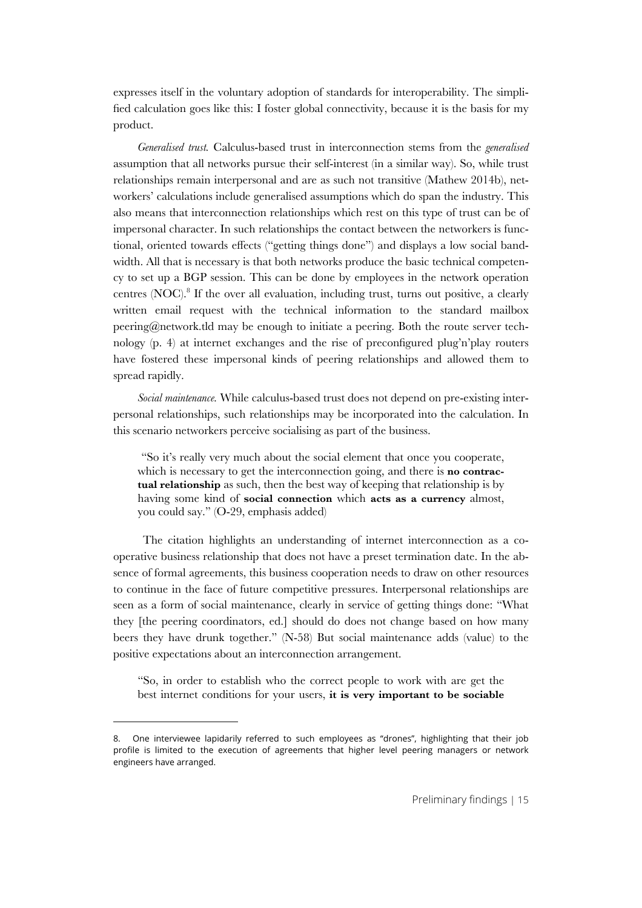expresses itself in the voluntary adoption of standards for interoperability. The simplified calculation goes like this: I foster global connectivity, because it is the basis for my product.

*Generalised trust.* Calculus-based trust in interconnection stems from the *generalised* assumption that all networks pursue their self-interest (in a similar way). So, while trust relationships remain interpersonal and are as such not transitive (Mathew 2014b), networkers' calculations include generalised assumptions which do span the industry. This also means that interconnection relationships which rest on this type of trust can be of impersonal character. In such relationships the contact between the networkers is functional, oriented towards effects ("getting things done") and displays a low social bandwidth. All that is necessary is that both networks produce the basic technical competency to set up a BGP session. This can be done by employees in the network operation centres (NOC).<sup>8</sup> If the over all evaluation, including trust, turns out positive, a clearly written email request with the technical information to the standard mailbox peering@network.tld may be enough to initiate a peering. Both the route server technology [\(p.](#page-3-0) 4) at internet exchanges and the rise of preconfigured plug'n'play routers have fostered these impersonal kinds of peering relationships and allowed them to spread rapidly.

*Social maintenance.* While calculus-based trust does not depend on pre-existing interpersonal relationships, such relationships may be incorporated into the calculation. In this scenario networkers perceive socialising as part of the business.

"So it's really very much about the social element that once you cooperate, which is necessary to get the interconnection going, and there is **no contractual relationship** as such, then the best way of keeping that relationship is by having some kind of **social connection** which **acts as a currency** almost, you could say." (O-29, emphasis added)

The citation highlights an understanding of internet interconnection as a cooperative business relationship that does not have a preset termination date. In the absence of formal agreements, this business cooperation needs to draw on other resources to continue in the face of future competitive pressures. Interpersonal relationships are seen as a form of social maintenance, clearly in service of getting things done: "What they [the peering coordinators, ed.] should do does not change based on how many beers they have drunk together." (N-58) But social maintenance adds (value) to the positive expectations about an interconnection arrangement.

"So, in order to establish who the correct people to work with are get the best internet conditions for your users, **it is very important to be sociable**

<sup>8.</sup> One interviewee lapidarily referred to such employees as "drones", highlighting that their job profile is limited to the execution of agreements that higher level peering managers or network engineers have arranged.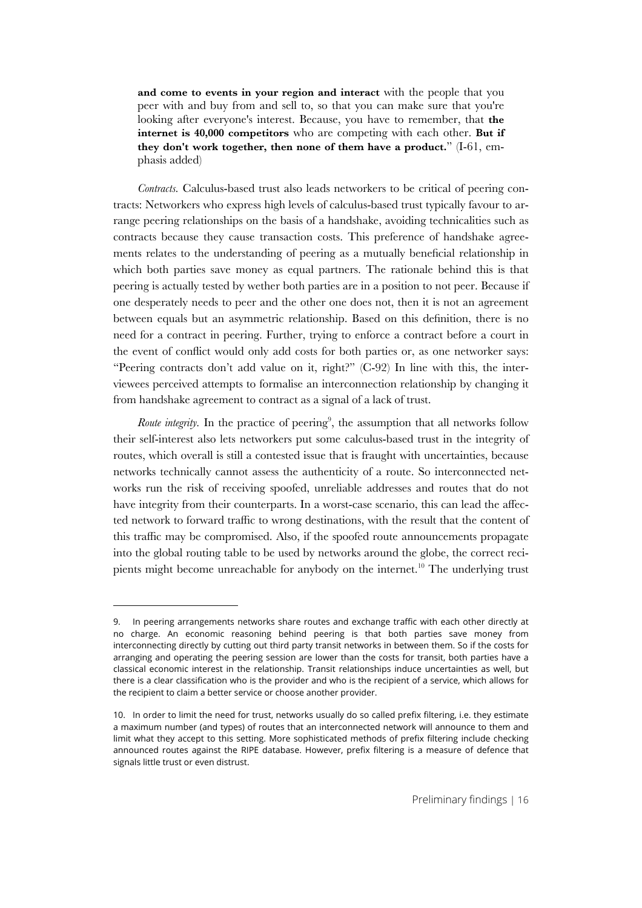**and come to events in your region and interact** with the people that you peer with and buy from and sell to, so that you can make sure that you're looking after everyone's interest. Because, you have to remember, that **the internet is 40,000 competitors** who are competing with each other. **But if they don't work together, then none of them have a product.**" (I-61, emphasis added)

*Contracts.* Calculus-based trust also leads networkers to be critical of peering contracts: Networkers who express high levels of calculus-based trust typically favour to arrange peering relationships on the basis of a handshake, avoiding technicalities such as contracts because they cause transaction costs. This preference of handshake agreements relates to the understanding of peering as a mutually beneficial relationship in which both parties save money as equal partners. The rationale behind this is that peering is actually tested by wether both parties are in a position to not peer. Because if one desperately needs to peer and the other one does not, then it is not an agreement between equals but an asymmetric relationship. Based on this definition, there is no need for a contract in peering. Further, trying to enforce a contract before a court in the event of conflict would only add costs for both parties or, as one networker says: "Peering contracts don't add value on it, right?" (C-92) In line with this, the interviewees perceived attempts to formalise an interconnection relationship by changing it from handshake agreement to contract as a signal of a lack of trust.

*Route integrity*. In the practice of peering<sup>9</sup>, the assumption that all networks follow their self-interest also lets networkers put some calculus-based trust in the integrity of routes, which overall is still a contested issue that is fraught with uncertainties, because networks technically cannot assess the authenticity of a route. So interconnected networks run the risk of receiving spoofed, unreliable addresses and routes that do not have integrity from their counterparts. In a worst-case scenario, this can lead the affected network to forward traffic to wrong destinations, with the result that the content of this traffic may be compromised. Also, if the spoofed route announcements propagate into the global routing table to be used by networks around the globe, the correct recipients might become unreachable for anybody on the internet.<sup>10</sup> The underlying trust

<sup>9.</sup> In peering arrangements networks share routes and exchange traffic with each other directly at no charge. An economic reasoning behind peering is that both parties save money from interconnecting directly by cutting out third party transit networks in between them. So if the costs for arranging and operating the peering session are lower than the costs for transit, both parties have a classical economic interest in the relationship. Transit relationships induce uncertainties as well, but there is a clear classification who is the provider and who is the recipient of a service, which allows for the recipient to claim a better service or choose another provider.

<sup>10.</sup> In order to limit the need for trust, networks usually do so called prefix filtering, i.e. they estimate a maximum number (and types) of routes that an interconnected network will announce to them and limit what they accept to this setting. More sophisticated methods of prefix filtering include checking announced routes against the RIPE database. However, prefix filtering is a measure of defence that signals little trust or even distrust.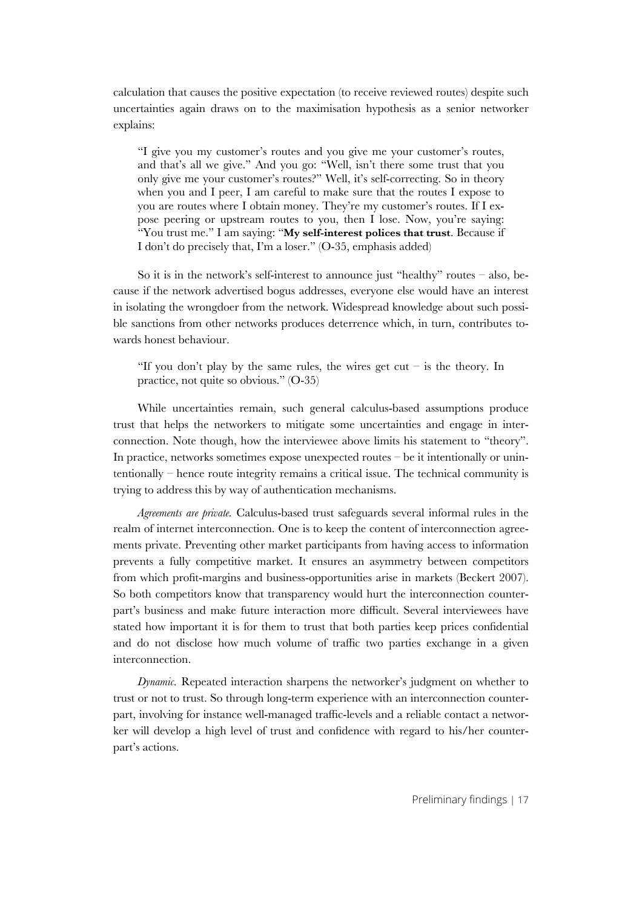calculation that causes the positive expectation (to receive reviewed routes) despite such uncertainties again draws on to the maximisation hypothesis as a senior networker explains:

"I give you my customer's routes and you give me your customer's routes, and that's all we give." And you go: "Well, isn't there some trust that you only give me your customer's routes?" Well, it's self-correcting. So in theory when you and I peer, I am careful to make sure that the routes I expose to you are routes where I obtain money. They're my customer's routes. If I expose peering or upstream routes to you, then I lose. Now, you're saying: "You trust me." I am saying: "**My self-interest polices that trust**. Because if I don't do precisely that, I'm a loser." (O-35, emphasis added)

So it is in the network's self-interest to announce just "healthy" routes – also, because if the network advertised bogus addresses, everyone else would have an interest in isolating the wrongdoer from the network. Widespread knowledge about such possible sanctions from other networks produces deterrence which, in turn, contributes towards honest behaviour.

"If you don't play by the same rules, the wires get cut – is the theory. In practice, not quite so obvious." (O-35)

While uncertainties remain, such general calculus-based assumptions produce trust that helps the networkers to mitigate some uncertainties and engage in interconnection. Note though, how the interviewee above limits his statement to "theory". In practice, networks sometimes expose unexpected routes – be it intentionally or unintentionally – hence route integrity remains a critical issue. The technical community is trying to address this by way of authentication mechanisms.

*Agreements are private.* Calculus-based trust safeguards several informal rules in the realm of internet interconnection. One is to keep the content of interconnection agreements private. Preventing other market participants from having access to information prevents a fully competitive market. It ensures an asymmetry between competitors from which profit-margins and business-opportunities arise in markets (Beckert 2007). So both competitors know that transparency would hurt the interconnection counterpart's business and make future interaction more difficult. Several interviewees have stated how important it is for them to trust that both parties keep prices confidential and do not disclose how much volume of traffic two parties exchange in a given interconnection.

*Dynamic.* Repeated interaction sharpens the networker's judgment on whether to trust or not to trust. So through long-term experience with an interconnection counterpart, involving for instance well-managed traffic-levels and a reliable contact a networker will develop a high level of trust and confidence with regard to his/her counterpart's actions.

Preliminary findings | 17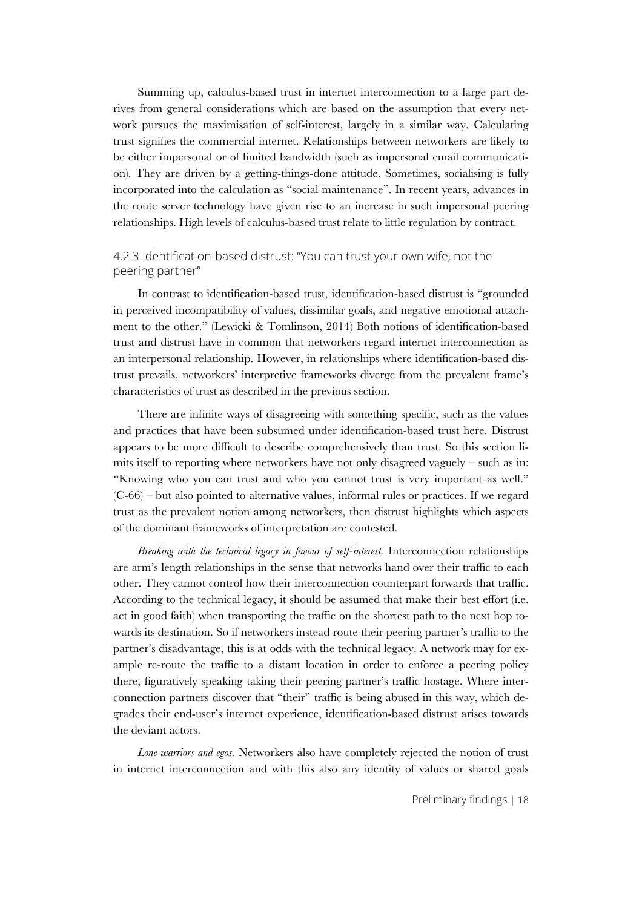Summing up, calculus-based trust in internet interconnection to a large part derives from general considerations which are based on the assumption that every network pursues the maximisation of self-interest, largely in a similar way. Calculating trust signifies the commercial internet. Relationships between networkers are likely to be either impersonal or of limited bandwidth (such as impersonal email communication). They are driven by a getting-things-done attitude. Sometimes, socialising is fully incorporated into the calculation as "social maintenance". In recent years, advances in the route server technology have given rise to an increase in such impersonal peering relationships. High levels of calculus-based trust relate to little regulation by contract.

#### 4.2.3 Identification-based distrust: "You can trust your own wife, not the peering partner"

In contrast to identification-based trust, identification-based distrust is "grounded in perceived incompatibility of values, dissimilar goals, and negative emotional attachment to the other." (Lewicki & Tomlinson, 2014) Both notions of identification-based trust and distrust have in common that networkers regard internet interconnection as an interpersonal relationship. However, in relationships where identification-based distrust prevails, networkers' interpretive frameworks diverge from the prevalent frame's characteristics of trust as described in the previous section.

There are infinite ways of disagreeing with something specific, such as the values and practices that have been subsumed under identification-based trust here. Distrust appears to be more difficult to describe comprehensively than trust. So this section limits itself to reporting where networkers have not only disagreed vaguely  $-$  such as in: "Knowing who you can trust and who you cannot trust is very important as well."  $(C-66)$  – but also pointed to alternative values, informal rules or practices. If we regard trust as the prevalent notion among networkers, then distrust highlights which aspects of the dominant frameworks of interpretation are contested.

*Breaking with the technical legacy in favour of self-interest.* Interconnection relationships are arm's length relationships in the sense that networks hand over their traffic to each other. They cannot control how their interconnection counterpart forwards that traffic. According to the technical legacy, it should be assumed that make their best effort (i.e. act in good faith) when transporting the traffic on the shortest path to the next hop towards its destination. So if networkers instead route their peering partner's traffic to the partner's disadvantage, this is at odds with the technical legacy. A network may for example re-route the traffic to a distant location in order to enforce a peering policy there, figuratively speaking taking their peering partner's traffic hostage. Where interconnection partners discover that "their" traffic is being abused in this way, which degrades their end-user's internet experience, identification-based distrust arises towards the deviant actors.

*Lone warriors and egos.* Networkers also have completely rejected the notion of trust in internet interconnection and with this also any identity of values or shared goals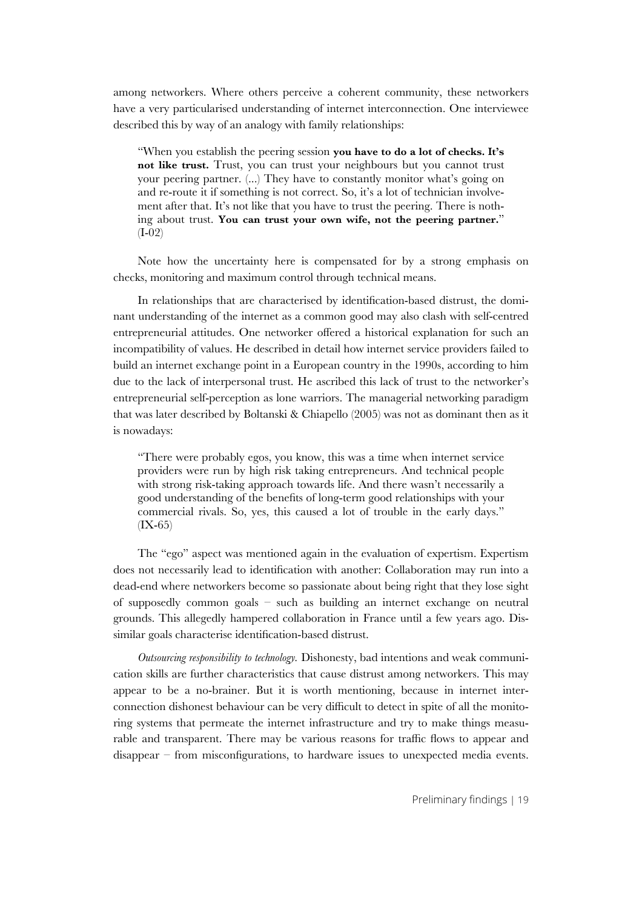among networkers. Where others perceive a coherent community, these networkers have a very particularised understanding of internet interconnection. One interviewee described this by way of an analogy with family relationships:

"When you establish the peering session **you have to do a lot of checks. It's not like trust.** Trust, you can trust your neighbours but you cannot trust your peering partner. (...) They have to constantly monitor what's going on and re-route it if something is not correct. So, it's a lot of technician involvement after that. It's not like that you have to trust the peering. There is nothing about trust. **You can trust your own wife, not the peering partner.**"  $(I-02)$ 

Note how the uncertainty here is compensated for by a strong emphasis on checks, monitoring and maximum control through technical means.

In relationships that are characterised by identification-based distrust, the dominant understanding of the internet as a common good may also clash with self-centred entrepreneurial attitudes. One networker offered a historical explanation for such an incompatibility of values. He described in detail how internet service providers failed to build an internet exchange point in a European country in the 1990s, according to him due to the lack of interpersonal trust. He ascribed this lack of trust to the networker's entrepreneurial self-perception as lone warriors. The managerial networking paradigm that was later described by Boltanski & Chiapello (2005) was not as dominant then as it is nowadays:

"There were probably egos, you know, this was a time when internet service providers were run by high risk taking entrepreneurs. And technical people with strong risk-taking approach towards life. And there wasn't necessarily a good understanding of the benefits of long-term good relationships with your commercial rivals. So, yes, this caused a lot of trouble in the early days."  $(IX-65)$ 

The "ego" aspect was mentioned again in the evaluation of expertism. Expertism does not necessarily lead to identification with another: Collaboration may run into a dead-end where networkers become so passionate about being right that they lose sight of supposedly common goals – such as building an internet exchange on neutral grounds. This allegedly hampered collaboration in France until a few years ago. Dissimilar goals characterise identification-based distrust.

*Outsourcing responsibility to technology.* Dishonesty, bad intentions and weak communication skills are further characteristics that cause distrust among networkers. This may appear to be a no-brainer. But it is worth mentioning, because in internet interconnection dishonest behaviour can be very difficult to detect in spite of all the monitoring systems that permeate the internet infrastructure and try to make things measurable and transparent. There may be various reasons for traffic flows to appear and disappear – from misconfigurations, to hardware issues to unexpected media events.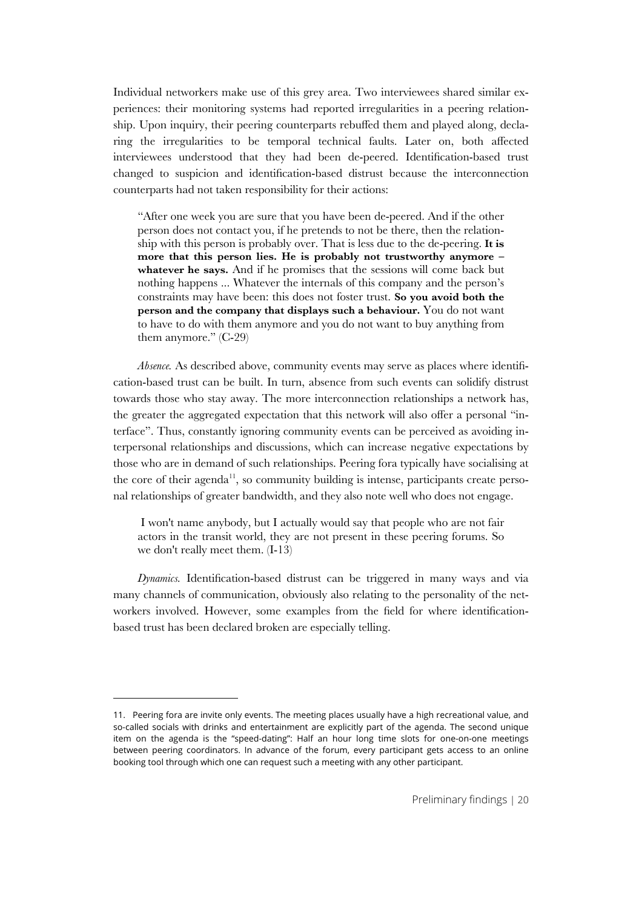Individual networkers make use of this grey area. Two interviewees shared similar experiences: their monitoring systems had reported irregularities in a peering relationship. Upon inquiry, their peering counterparts rebuffed them and played along, declaring the irregularities to be temporal technical faults. Later on, both affected interviewees understood that they had been de-peered. Identification-based trust changed to suspicion and identification-based distrust because the interconnection counterparts had not taken responsibility for their actions:

"After one week you are sure that you have been de-peered. And if the other person does not contact you, if he pretends to not be there, then the relationship with this person is probably over. That is less due to the de-peering. **It is more that this person lies. He is probably not trustworthy anymore – whatever he says.** And if he promises that the sessions will come back but nothing happens ... Whatever the internals of this company and the person's constraints may have been: this does not foster trust. **So you avoid both the person and the company that displays such a behaviour.** You do not want to have to do with them anymore and you do not want to buy anything from them anymore." (C-29)

*Absence.* As described above, community events may serve as places where identification-based trust can be built. In turn, absence from such events can solidify distrust towards those who stay away. The more interconnection relationships a network has, the greater the aggregated expectation that this network will also offer a personal "interface". Thus, constantly ignoring community events can be perceived as avoiding interpersonal relationships and discussions, which can increase negative expectations by those who are in demand of such relationships. Peering fora typically have socialising at the core of their agenda<sup>11</sup>, so community building is intense, participants create personal relationships of greater bandwidth, and they also note well who does not engage.

I won't name anybody, but I actually would say that people who are not fair actors in the transit world, they are not present in these peering forums. So we don't really meet them. (I-13)

*Dynamics.* Identification-based distrust can be triggered in many ways and via many channels of communication, obviously also relating to the personality of the networkers involved. However, some examples from the field for where identificationbased trust has been declared broken are especially telling.

<sup>11.</sup> Peering fora are invite only events. The meeting places usually have a high recreational value, and so-called socials with drinks and entertainment are explicitly part of the agenda. The second unique item on the agenda is the "speed-dating": Half an hour long time slots for one-on-one meetings between peering coordinators. In advance of the forum, every participant gets access to an online booking tool through which one can request such a meeting with any other participant.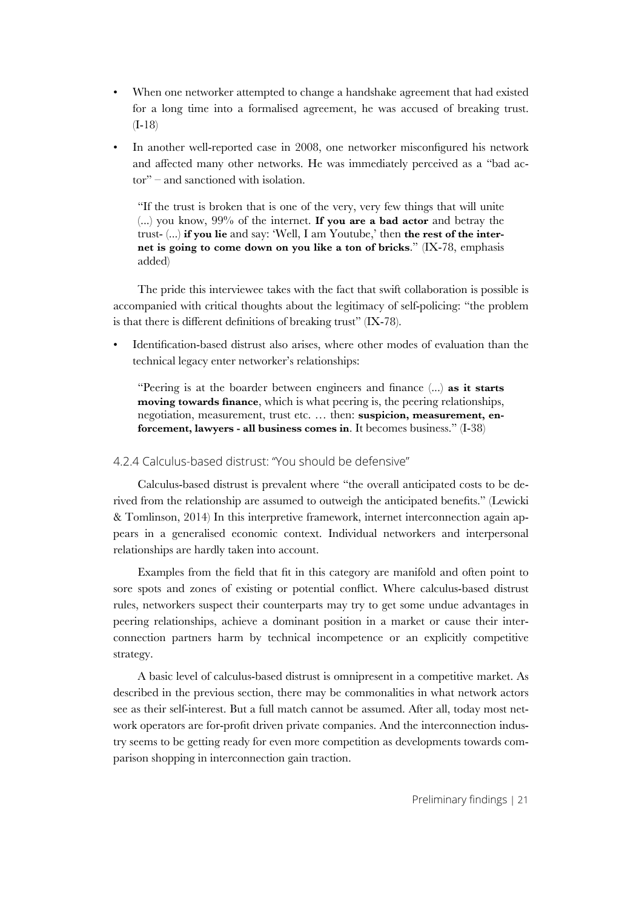- When one networker attempted to change a handshake agreement that had existed for a long time into a formalised agreement, he was accused of breaking trust. (I-18)
- In another well-reported case in 2008, one networker misconfigured his network and affected many other networks. He was immediately perceived as a "bad actor" – and sanctioned with isolation.

"If the trust is broken that is one of the very, very few things that will unite (...) you know, 99% of the internet. **If you are a bad actor** and betray the trust- (...) **if you lie** and say: 'Well, I am Youtube,' then **the rest of the internet is going to come down on you like a ton of bricks**." (IX-78, emphasis added)

The pride this interviewee takes with the fact that swift collaboration is possible is accompanied with critical thoughts about the legitimacy of self-policing: "the problem is that there is different definitions of breaking trust" (IX-78).

• Identification-based distrust also arises, where other modes of evaluation than the technical legacy enter networker's relationships:

"Peering is at the boarder between engineers and finance (...) **as it starts moving towards finance**, which is what peering is, the peering relationships, negotiation, measurement, trust etc. … then: **suspicion, measurement, enforcement, lawyers - all business comes in**. It becomes business." (I-38)

#### <span id="page-20-0"></span>4.2.4 Calculus-based distrust: "You should be defensive"

Calculus-based distrust is prevalent where "the overall anticipated costs to be derived from the relationship are assumed to outweigh the anticipated benefits." (Lewicki & Tomlinson, 2014) In this interpretive framework, internet interconnection again appears in a generalised economic context. Individual networkers and interpersonal relationships are hardly taken into account.

Examples from the field that fit in this category are manifold and often point to sore spots and zones of existing or potential conflict. Where calculus-based distrust rules, networkers suspect their counterparts may try to get some undue advantages in peering relationships, achieve a dominant position in a market or cause their interconnection partners harm by technical incompetence or an explicitly competitive strategy.

A basic level of calculus-based distrust is omnipresent in a competitive market. As described in the previous section, there may be commonalities in what network actors see as their self-interest. But a full match cannot be assumed. After all, today most network operators are for-profit driven private companies. And the interconnection industry seems to be getting ready for even more competition as developments towards comparison shopping in interconnection gain traction.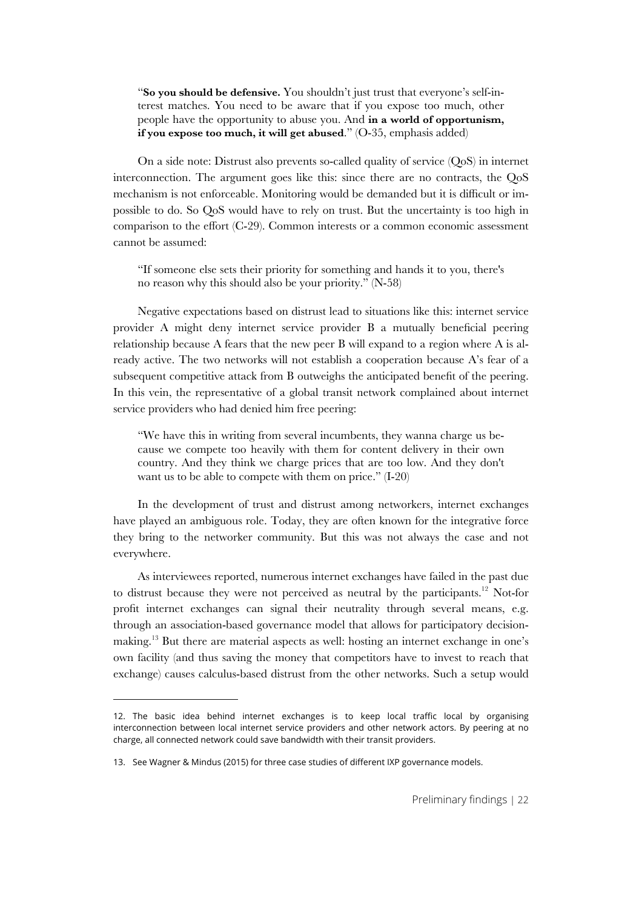"**So you should be defensive.** You shouldn't just trust that everyone's self-interest matches. You need to be aware that if you expose too much, other people have the opportunity to abuse you. And **in a world of opportunism, if you expose too much, it will get abused**." (O-35, emphasis added)

On a side note: Distrust also prevents so-called quality of service (QoS) in internet interconnection. The argument goes like this: since there are no contracts, the QoS mechanism is not enforceable. Monitoring would be demanded but it is difficult or impossible to do. So QoS would have to rely on trust. But the uncertainty is too high in comparison to the effort (C-29). Common interests or a common economic assessment cannot be assumed:

"If someone else sets their priority for something and hands it to you, there's no reason why this should also be your priority." (N-58)

Negative expectations based on distrust lead to situations like this: internet service provider A might deny internet service provider B a mutually beneficial peering relationship because A fears that the new peer B will expand to a region where A is already active. The two networks will not establish a cooperation because A's fear of a subsequent competitive attack from B outweighs the anticipated benefit of the peering. In this vein, the representative of a global transit network complained about internet service providers who had denied him free peering:

"We have this in writing from several incumbents, they wanna charge us because we compete too heavily with them for content delivery in their own country. And they think we charge prices that are too low. And they don't want us to be able to compete with them on price." (I-20)

In the development of trust and distrust among networkers, internet exchanges have played an ambiguous role. Today, they are often known for the integrative force they bring to the networker community. But this was not always the case and not everywhere.

As interviewees reported, numerous internet exchanges have failed in the past due to distrust because they were not perceived as neutral by the participants.12 Not-for profit internet exchanges can signal their neutrality through several means, e.g. through an association-based governance model that allows for participatory decisionmaking.<sup>13</sup> But there are material aspects as well: hosting an internet exchange in one's own facility (and thus saving the money that competitors have to invest to reach that exchange) causes calculus-based distrust from the other networks. Such a setup would

<sup>12.</sup> The basic idea behind internet exchanges is to keep local traffic local by organising interconnection between local internet service providers and other network actors. By peering at no charge, all connected network could save bandwidth with their transit providers.

<sup>13.</sup> See Wagner & Mindus (2015) for three case studies of different IXP governance models.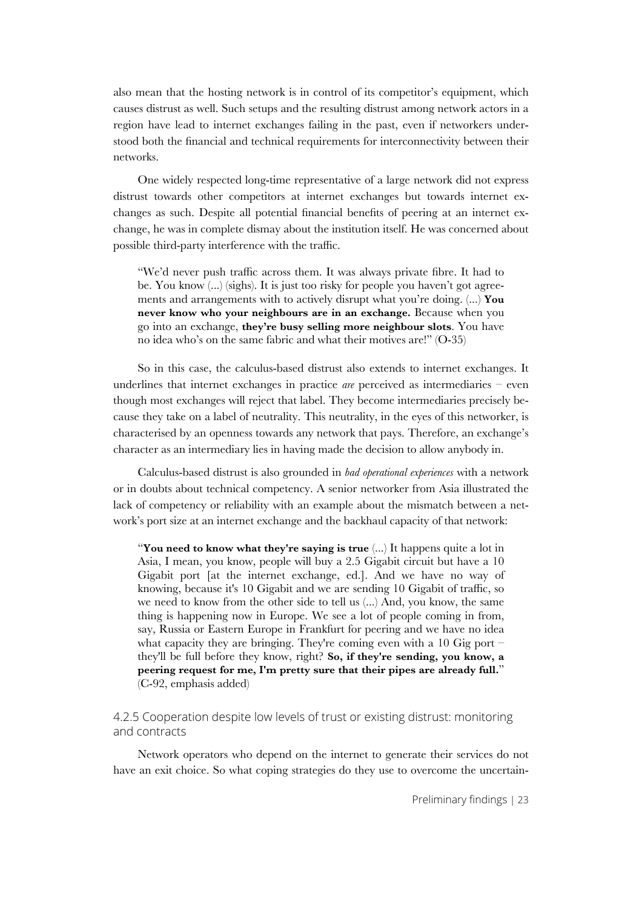also mean that the hosting network is in control of its competitor's equipment, which causes distrust as well. Such setups and the resulting distrust among network actors in a region have lead to internet exchanges failing in the past, even if networkers understood both the financial and technical requirements for interconnectivity between their networks.

One widely respected long-time representative of a large network did not express distrust towards other competitors at internet exchanges but towards internet exchanges as such. Despite all potential financial benefits of peering at an internet exchange, he was in complete dismay about the institution itself. He was concerned about possible third-party interference with the traffic.

"We'd never push traffic across them. It was always private fibre. It had to be. You know (...) (sighs). It is just too risky for people you haven't got agreements and arrangements with to actively disrupt what you're doing. (...) **You never know who your neighbours are in an exchange.** Because when you go into an exchange, **they're busy selling more neighbour slots**. You have no idea who's on the same fabric and what their motives are!" (O-35)

So in this case, the calculus-based distrust also extends to internet exchanges. It underlines that internet exchanges in practice *are* perceived as intermediaries – even though most exchanges will reject that label. They become intermediaries precisely because they take on a label of neutrality. This neutrality, in the eyes of this networker, is characterised by an openness towards any network that pays. Therefore, an exchange's character as an intermediary lies in having made the decision to allow anybody in.

Calculus-based distrust is also grounded in *bad operational experiences* with a network or in doubts about technical competency. A senior networker from Asia illustrated the lack of competency or reliability with an example about the mismatch between a network's port size at an internet exchange and the backhaul capacity of that network:

"**You need to know what they're saying is true** (...) It happens quite a lot in Asia, I mean, you know, people will buy a 2.5 Gigabit circuit but have a 10 Gigabit port [at the internet exchange, ed.]. And we have no way of knowing, because it's 10 Gigabit and we are sending 10 Gigabit of traffic, so we need to know from the other side to tell us (...) And, you know, the same thing is happening now in Europe. We see a lot of people coming in from, say, Russia or Eastern Europe in Frankfurt for peering and we have no idea what capacity they are bringing. They're coming even with a 10 Gig port – they'll be full before they know, right? **So, if they're sending, you know, a peering request for me, I'm pretty sure that their pipes are already full.**" (C-92, emphasis added)

4.2.5 Cooperation despite low levels of trust or existing distrust: monitoring and contracts

Network operators who depend on the internet to generate their services do not have an exit choice. So what coping strategies do they use to overcome the uncertain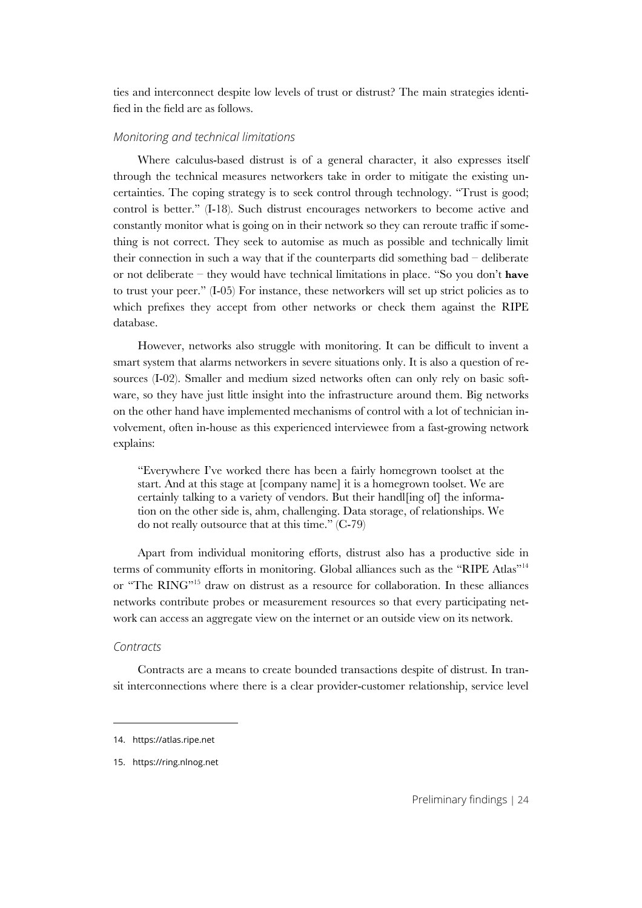ties and interconnect despite low levels of trust or distrust? The main strategies identified in the field are as follows.

#### *Monitoring and technical limitations*

Where calculus-based distrust is of a general character, it also expresses itself through the technical measures networkers take in order to mitigate the existing uncertainties. The coping strategy is to seek control through technology. "Trust is good; control is better." (I-18). Such distrust encourages networkers to become active and constantly monitor what is going on in their network so they can reroute traffic if something is not correct. They seek to automise as much as possible and technically limit their connection in such a way that if the counterparts did something bad – deliberate or not deliberate – they would have technical limitations in place. "So you don't **have** to trust your peer." (I-05) For instance, these networkers will set up strict policies as to which prefixes they accept from other networks or check them against the RIPE database.

However, networks also struggle with monitoring. It can be difficult to invent a smart system that alarms networkers in severe situations only. It is also a question of resources (I-02). Smaller and medium sized networks often can only rely on basic software, so they have just little insight into the infrastructure around them. Big networks on the other hand have implemented mechanisms of control with a lot of technician involvement, often in-house as this experienced interviewee from a fast-growing network explains:

"Everywhere I've worked there has been a fairly homegrown toolset at the start. And at this stage at [company name] it is a homegrown toolset. We are certainly talking to a variety of vendors. But their handl[ing of] the information on the other side is, ahm, challenging. Data storage, of relationships. We do not really outsource that at this time." (C-79)

Apart from individual monitoring efforts, distrust also has a productive side in terms of community efforts in monitoring. Global alliances such as the "RIPE Atlas"<sup>14</sup> or "The RING"15 draw on distrust as a resource for collaboration. In these alliances networks contribute probes or measurement resources so that every participating network can access an aggregate view on the internet or an outside view on its network.

#### *Contracts*

Contracts are a means to create bounded transactions despite of distrust. In transit interconnections where there is a clear provider-customer relationship, service level

<sup>14.</sup> https://atlas.ripe.net

<sup>15.</sup> https://ring.nlnog.net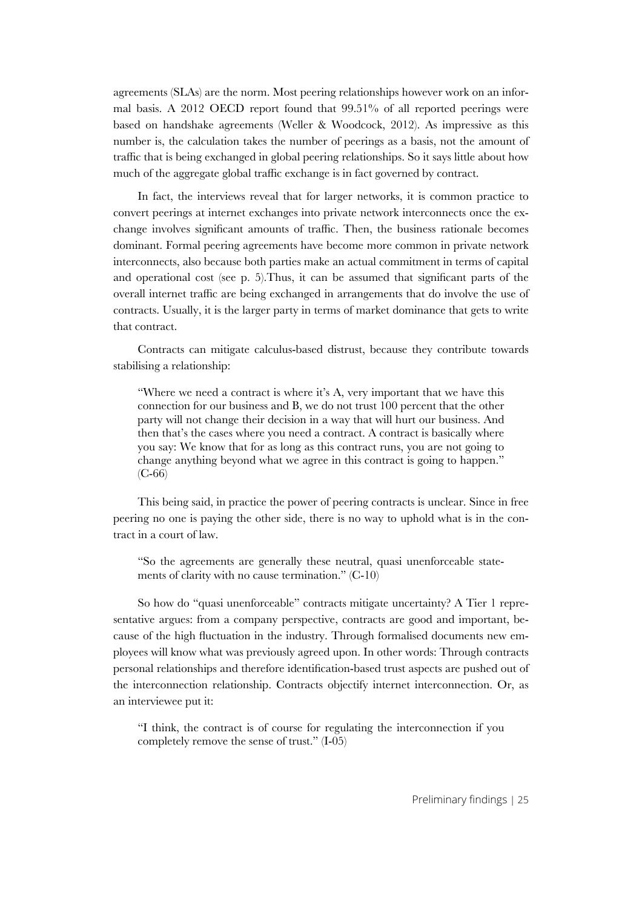agreements (SLAs) are the norm. Most peering relationships however work on an informal basis. A 2012 OECD report found that 99.51% of all reported peerings were based on handshake agreements (Weller & Woodcock, 2012). As impressive as this number is, the calculation takes the number of peerings as a basis, not the amount of traffic that is being exchanged in global peering relationships. So it says little about how much of the aggregate global traffic exchange is in fact governed by contract.

In fact, the interviews reveal that for larger networks, it is common practice to convert peerings at internet exchanges into private network interconnects once the exchange involves significant amounts of traffic. Then, the business rationale becomes dominant. Formal peering agreements have become more common in private network interconnects, also because both parties make an actual commitment in terms of capital and operational cost (see p. [5\)](#page-4-0).Thus, it can be assumed that significant parts of the overall internet traffic are being exchanged in arrangements that do involve the use of contracts. Usually, it is the larger party in terms of market dominance that gets to write that contract.

Contracts can mitigate calculus-based distrust, because they contribute towards stabilising a relationship:

"Where we need a contract is where it's A, very important that we have this connection for our business and B, we do not trust 100 percent that the other party will not change their decision in a way that will hurt our business. And then that's the cases where you need a contract. A contract is basically where you say: We know that for as long as this contract runs, you are not going to change anything beyond what we agree in this contract is going to happen."  $(C-66)$ 

This being said, in practice the power of peering contracts is unclear. Since in free peering no one is paying the other side, there is no way to uphold what is in the contract in a court of law.

"So the agreements are generally these neutral, quasi unenforceable statements of clarity with no cause termination." (C-10)

So how do "quasi unenforceable" contracts mitigate uncertainty? A Tier 1 representative argues: from a company perspective, contracts are good and important, because of the high fluctuation in the industry. Through formalised documents new employees will know what was previously agreed upon. In other words: Through contracts personal relationships and therefore identification-based trust aspects are pushed out of the interconnection relationship. Contracts objectify internet interconnection. Or, as an interviewee put it:

"I think, the contract is of course for regulating the interconnection if you completely remove the sense of trust." (I-05)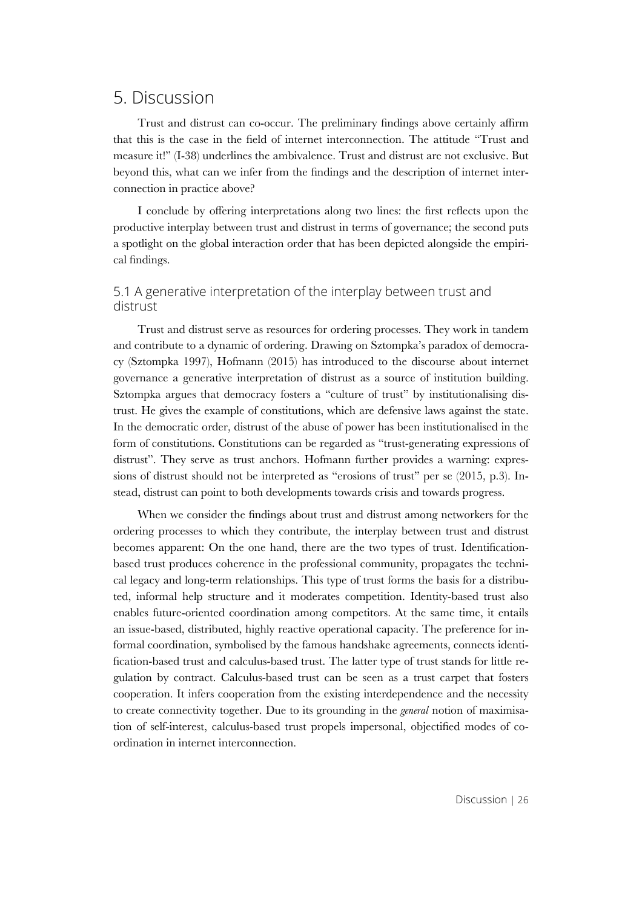### 5. Discussion

Trust and distrust can co-occur. The preliminary findings above certainly affirm that this is the case in the field of internet interconnection. The attitude "Trust and measure it!" (I-38) underlines the ambivalence. Trust and distrust are not exclusive. But beyond this, what can we infer from the findings and the description of internet interconnection in practice above?

I conclude by offering interpretations along two lines: the first reflects upon the productive interplay between trust and distrust in terms of governance; the second puts a spotlight on the global interaction order that has been depicted alongside the empirical findings.

#### 5.1 A generative interpretation of the interplay between trust and distrust

Trust and distrust serve as resources for ordering processes. They work in tandem and contribute to a dynamic of ordering. Drawing on Sztompka's paradox of democracy (Sztompka 1997), Hofmann (2015) has introduced to the discourse about internet governance a generative interpretation of distrust as a source of institution building. Sztompka argues that democracy fosters a "culture of trust" by institutionalising distrust. He gives the example of constitutions, which are defensive laws against the state. In the democratic order, distrust of the abuse of power has been institutionalised in the form of constitutions. Constitutions can be regarded as "trust-generating expressions of distrust". They serve as trust anchors. Hofmann further provides a warning: expressions of distrust should not be interpreted as "erosions of trust" per se (2015, p.3). Instead, distrust can point to both developments towards crisis and towards progress.

When we consider the findings about trust and distrust among networkers for the ordering processes to which they contribute, the interplay between trust and distrust becomes apparent: On the one hand, there are the two types of trust. Identificationbased trust produces coherence in the professional community, propagates the technical legacy and long-term relationships. This type of trust forms the basis for a distributed, informal help structure and it moderates competition. Identity-based trust also enables future-oriented coordination among competitors. At the same time, it entails an issue-based, distributed, highly reactive operational capacity. The preference for informal coordination, symbolised by the famous handshake agreements, connects identification-based trust and calculus-based trust. The latter type of trust stands for little regulation by contract. Calculus-based trust can be seen as a trust carpet that fosters cooperation. It infers cooperation from the existing interdependence and the necessity to create connectivity together. Due to its grounding in the *general* notion of maximisation of self-interest, calculus-based trust propels impersonal, objectified modes of coordination in internet interconnection.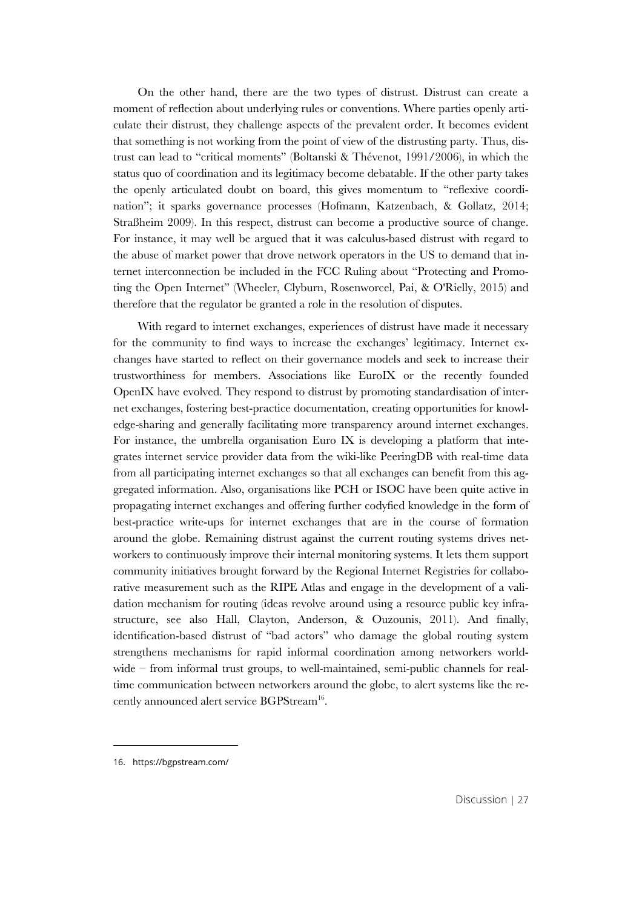On the other hand, there are the two types of distrust. Distrust can create a moment of reflection about underlying rules or conventions. Where parties openly articulate their distrust, they challenge aspects of the prevalent order. It becomes evident that something is not working from the point of view of the distrusting party. Thus, distrust can lead to "critical moments" (Boltanski & Thévenot, 1991/2006), in which the status quo of coordination and its legitimacy become debatable. If the other party takes the openly articulated doubt on board, this gives momentum to "reflexive coordination"; it sparks governance processes (Hofmann, Katzenbach, & Gollatz, 2014; Straßheim 2009). In this respect, distrust can become a productive source of change. For instance, it may well be argued that it was calculus-based distrust with regard to the abuse of market power that drove network operators in the US to demand that internet interconnection be included in the FCC Ruling about "Protecting and Promoting the Open Internet" (Wheeler, Clyburn, Rosenworcel, Pai, & O'Rielly, 2015) and therefore that the regulator be granted a role in the resolution of disputes.

With regard to internet exchanges, experiences of distrust have made it necessary for the community to find ways to increase the exchanges' legitimacy. Internet exchanges have started to reflect on their governance models and seek to increase their trustworthiness for members. Associations like EuroIX or the recently founded OpenIX have evolved. They respond to distrust by promoting standardisation of internet exchanges, fostering best-practice documentation, creating opportunities for knowledge-sharing and generally facilitating more transparency around internet exchanges. For instance, the umbrella organisation Euro IX is developing a platform that integrates internet service provider data from the wiki-like PeeringDB with real-time data from all participating internet exchanges so that all exchanges can benefit from this aggregated information. Also, organisations like PCH or ISOC have been quite active in propagating internet exchanges and offering further codyfied knowledge in the form of best-practice write-ups for internet exchanges that are in the course of formation around the globe. Remaining distrust against the current routing systems drives networkers to continuously improve their internal monitoring systems. It lets them support community initiatives brought forward by the Regional Internet Registries for collaborative measurement such as the RIPE Atlas and engage in the development of a validation mechanism for routing (ideas revolve around using a resource public key infrastructure, see also Hall, Clayton, Anderson, & Ouzounis, 2011). And finally, identification-based distrust of "bad actors" who damage the global routing system strengthens mechanisms for rapid informal coordination among networkers worldwide – from informal trust groups, to well-maintained, semi-public channels for realtime communication between networkers around the globe, to alert systems like the recently announced alert service BGPStream<sup>16</sup>.

<sup>16.</sup> https://bgpstream.com/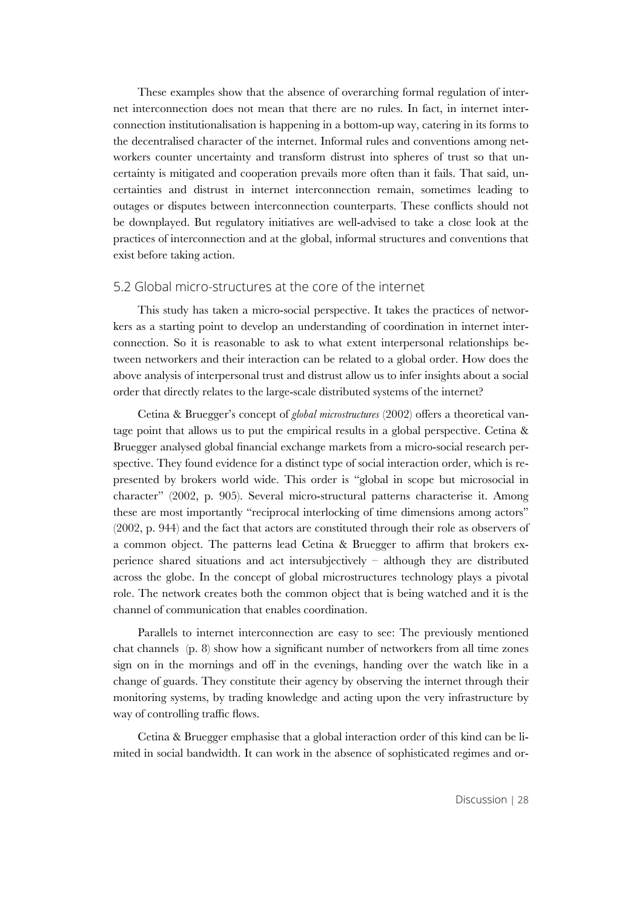These examples show that the absence of overarching formal regulation of internet interconnection does not mean that there are no rules. In fact, in internet interconnection institutionalisation is happening in a bottom-up way, catering in its forms to the decentralised character of the internet. Informal rules and conventions among networkers counter uncertainty and transform distrust into spheres of trust so that uncertainty is mitigated and cooperation prevails more often than it fails. That said, uncertainties and distrust in internet interconnection remain, sometimes leading to outages or disputes between interconnection counterparts. These conflicts should not be downplayed. But regulatory initiatives are well-advised to take a close look at the practices of interconnection and at the global, informal structures and conventions that exist before taking action.

#### <span id="page-27-0"></span>5.2 Global micro-structures at the core of the internet

This study has taken a micro-social perspective. It takes the practices of networkers as a starting point to develop an understanding of coordination in internet interconnection. So it is reasonable to ask to what extent interpersonal relationships between networkers and their interaction can be related to a global order. How does the above analysis of interpersonal trust and distrust allow us to infer insights about a social order that directly relates to the large-scale distributed systems of the internet?

Cetina & Bruegger's concept of *global microstructures* (2002) offers a theoretical vantage point that allows us to put the empirical results in a global perspective. Cetina & Bruegger analysed global financial exchange markets from a micro-social research perspective. They found evidence for a distinct type of social interaction order, which is represented by brokers world wide. This order is "global in scope but microsocial in character" (2002, p. 905). Several micro-structural patterns characterise it. Among these are most importantly "reciprocal interlocking of time dimensions among actors" (2002, p. 944) and the fact that actors are constituted through their role as observers of a common object. The patterns lead Cetina & Bruegger to affirm that brokers experience shared situations and act intersubjectively – although they are distributed across the globe. In the concept of global microstructures technology plays a pivotal role. The network creates both the common object that is being watched and it is the channel of communication that enables coordination.

Parallels to internet interconnection are easy to see: The previously mentioned chat channels (p. [8](#page-7-1)) show how a significant number of networkers from all time zones sign on in the mornings and off in the evenings, handing over the watch like in a change of guards. They constitute their agency by observing the internet through their monitoring systems, by trading knowledge and acting upon the very infrastructure by way of controlling traffic flows.

Cetina & Bruegger emphasise that a global interaction order of this kind can be limited in social bandwidth. It can work in the absence of sophisticated regimes and or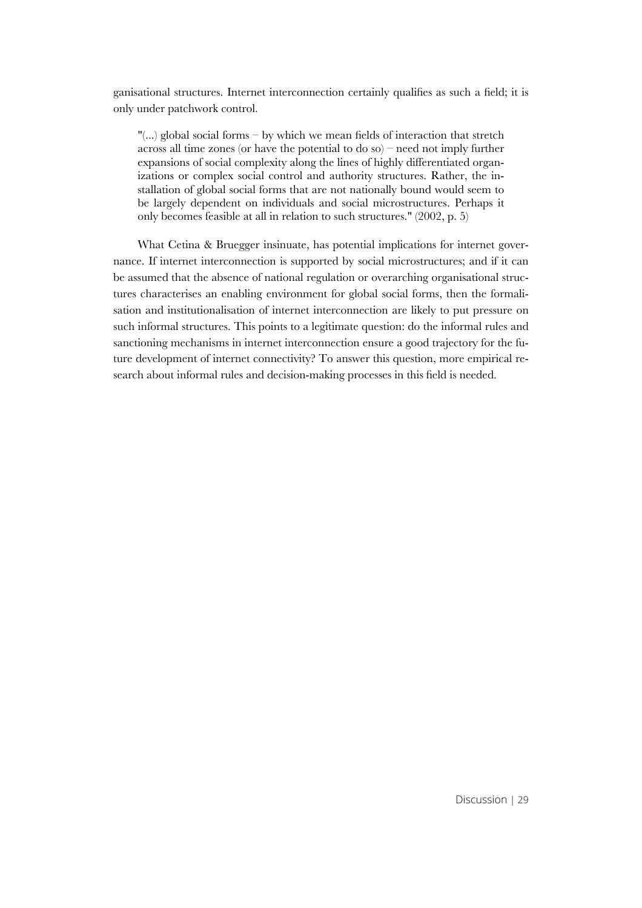ganisational structures. Internet interconnection certainly qualifies as such a field; it is only under patchwork control.

"(...) global social forms – by which we mean fields of interaction that stretch across all time zones (or have the potential to do so) – need not imply further expansions of social complexity along the lines of highly differentiated organizations or complex social control and authority structures. Rather, the installation of global social forms that are not nationally bound would seem to be largely dependent on individuals and social microstructures. Perhaps it only becomes feasible at all in relation to such structures." (2002, p. 5)

What Cetina & Bruegger insinuate, has potential implications for internet governance. If internet interconnection is supported by social microstructures; and if it can be assumed that the absence of national regulation or overarching organisational structures characterises an enabling environment for global social forms, then the formalisation and institutionalisation of internet interconnection are likely to put pressure on such informal structures. This points to a legitimate question: do the informal rules and sanctioning mechanisms in internet interconnection ensure a good trajectory for the future development of internet connectivity? To answer this question, more empirical research about informal rules and decision-making processes in this field is needed.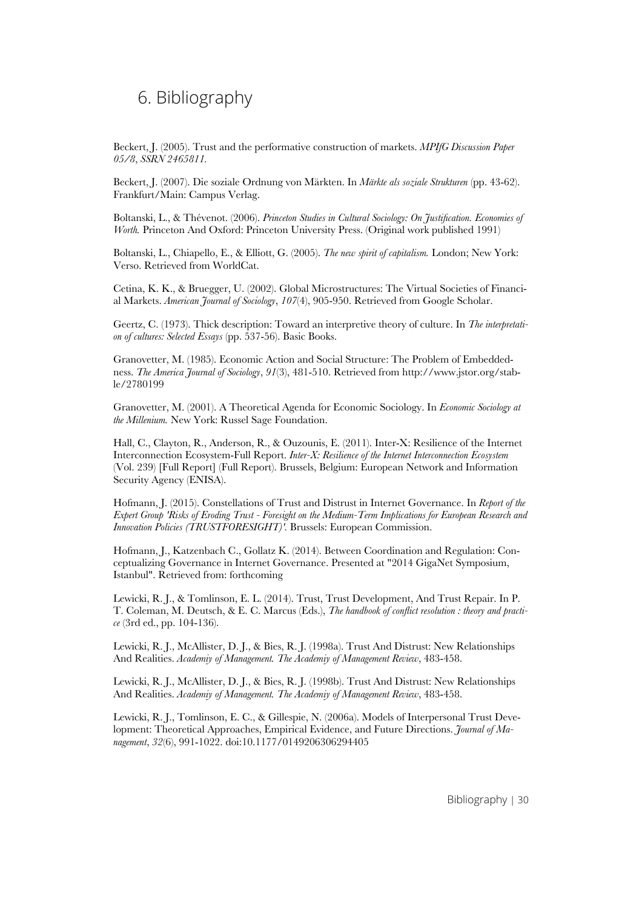# 6. Bibliography

Beckert, J. (2005). Trust and the performative construction of markets. *MPIfG Discussion Paper 05/8*, *SSRN 2465811.*

Beckert, J. (2007). Die soziale Ordnung von Märkten. In *Märkte als soziale Strukturen* (pp. 43-62). Frankfurt/Main: Campus Verlag.

Boltanski, L., & Thévenot. (2006). *Princeton Studies in Cultural Sociology: On Justification. Economies of Worth.* Princeton And Oxford: Princeton University Press. (Original work published 1991)

Boltanski, L., Chiapello, E., & Elliott, G. (2005). *The new spirit of capitalism.* London; New York: Verso. Retrieved from WorldCat.

Cetina, K. K., & Bruegger, U. (2002). Global Microstructures: The Virtual Societies of Financial Markets. *American Journal of Sociology*, *107*(4), 905-950. Retrieved from Google Scholar.

Geertz, C. (1973). Thick description: Toward an interpretive theory of culture. In *The interpretation of cultures: Selected Essays* (pp. 537-56). Basic Books.

Granovetter, M. (1985). Economic Action and Social Structure: The Problem of Embeddedness. *The America Journal of Sociology*, *91*(3), 481-510. Retrieved from http://www.jstor.org/stable/2780199

Granovetter, M. (2001). A Theoretical Agenda for Economic Sociology. In *Economic Sociology at the Millenium.* New York: Russel Sage Foundation.

Hall, C., Clayton, R., Anderson, R., & Ouzounis, E. (2011). Inter-X: Resilience of the Internet Interconnection Ecosystem-Full Report. *Inter-X: Resilience of the Internet Interconnection Ecosystem* (Vol. 239) [Full Report] (Full Report). Brussels, Belgium: European Network and Information Security Agency (ENISA).

Hofmann, J. (2015). Constellations of Trust and Distrust in Internet Governance. In *Report of the Expert Group 'Risks of Eroding Trust - Foresight on the Medium-Term Implications for European Research and Innovation Policies (TRUSTFORESIGHT)'.* Brussels: European Commission.

Hofmann, J., Katzenbach C., Gollatz K. (2014). Between Coordination and Regulation: Conceptualizing Governance in Internet Governance. Presented at "2014 GigaNet Symposium, Istanbul". Retrieved from: forthcoming

Lewicki, R. J., & Tomlinson, E. L. (2014). Trust, Trust Development, And Trust Repair. In P. T. Coleman, M. Deutsch, & E. C. Marcus (Eds.), *The handbook of conflict resolution : theory and practice* (3rd ed., pp. 104-136).

Lewicki, R. J., McAllister, D. J., & Bies, R. J. (1998a). Trust And Distrust: New Relationships And Realities. *Academiy of Management. The Academiy of Management Review*, 483-458.

Lewicki, R. J., McAllister, D. J., & Bies, R. J. (1998b). Trust And Distrust: New Relationships And Realities. *Academiy of Management. The Academiy of Management Review*, 483-458.

Lewicki, R. J., Tomlinson, E. C., & Gillespie, N. (2006a). Models of Interpersonal Trust Development: Theoretical Approaches, Empirical Evidence, and Future Directions. *Journal of Management*, *32*(6), 991-1022. doi:10.1177/0149206306294405

Bibliography | 30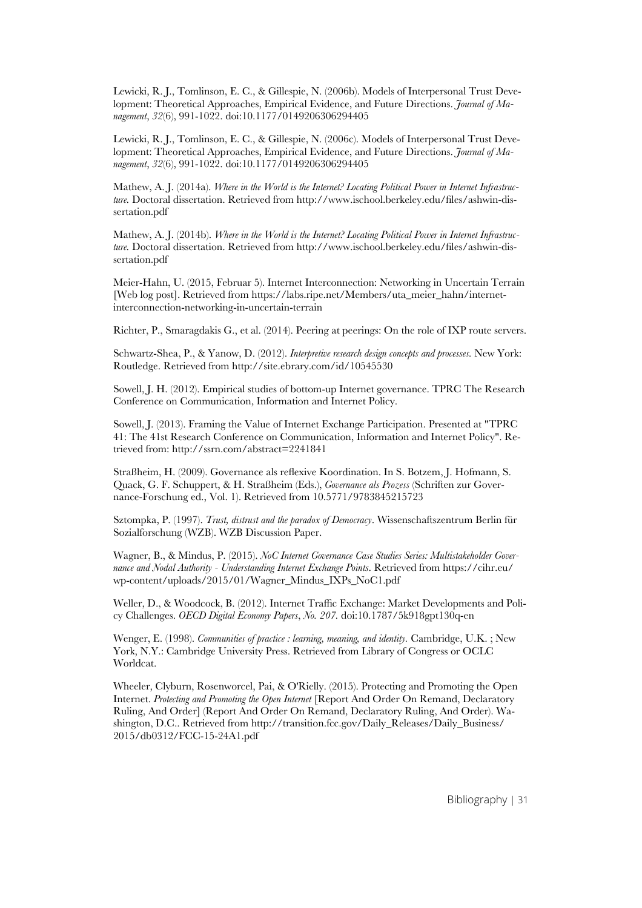Lewicki, R. J., Tomlinson, E. C., & Gillespie, N. (2006b). Models of Interpersonal Trust Development: Theoretical Approaches, Empirical Evidence, and Future Directions. *Journal of Management*, *32*(6), 991-1022. doi:10.1177/0149206306294405

Lewicki, R. J., Tomlinson, E. C., & Gillespie, N. (2006c). Models of Interpersonal Trust Development: Theoretical Approaches, Empirical Evidence, and Future Directions. *Journal of Management*, *32*(6), 991-1022. doi:10.1177/0149206306294405

Mathew, A. J. (2014a). *Where in the World is the Internet? Locating Political Power in Internet Infrastructure.* Doctoral dissertation. Retrieved from http://www.ischool.berkeley.edu/files/ashwin-dissertation.pdf

Mathew, A. J. (2014b). *Where in the World is the Internet? Locating Political Power in Internet Infrastructure.* Doctoral dissertation. Retrieved from http://www.ischool.berkeley.edu/files/ashwin-dissertation.pdf

Meier-Hahn, U. (2015, Februar 5). Internet Interconnection: Networking in Uncertain Terrain [Web log post]. Retrieved from https://labs.ripe.net/Members/uta\_meier\_hahn/internetinterconnection-networking-in-uncertain-terrain

Richter, P., Smaragdakis G., et al. (2014). Peering at peerings: On the role of IXP route servers.

Schwartz-Shea, P., & Yanow, D. (2012). *Interpretive research design concepts and processes.* New York: Routledge. Retrieved from http://site.ebrary.com/id/10545530

Sowell, J. H. (2012). Empirical studies of bottom-up Internet governance. TPRC The Research Conference on Communication, Information and Internet Policy.

Sowell, J. (2013). Framing the Value of Internet Exchange Participation. Presented at "TPRC 41: The 41st Research Conference on Communication, Information and Internet Policy". Retrieved from: http://ssrn.com/abstract=2241841

Straßheim, H. (2009). Governance als reflexive Koordination. In S. Botzem, J. Hofmann, S. Quack, G. F. Schuppert, & H. Straßheim (Eds.), *Governance als Prozess* (Schriften zur Governance-Forschung ed., Vol. 1). Retrieved from 10.5771/9783845215723

Sztompka, P. (1997). *Trust, distrust and the paradox of Democracy*. Wissenschaftszentrum Berlin für Sozialforschung (WZB). WZB Discussion Paper.

Wagner, B., & Mindus, P. (2015). *NoC Internet Governance Case Studies Series: Multistakeholder Governance and Nodal Authority - Understanding Internet Exchange Points*. Retrieved from https://cihr.eu/ wp-content/uploads/2015/01/Wagner\_Mindus\_IXPs\_NoC1.pdf

Weller, D., & Woodcock, B. (2012). Internet Traffic Exchange: Market Developments and Policy Challenges. *OECD Digital Economy Papers*, *No. 207.* doi:10.1787/5k918gpt130q-en

Wenger, E. (1998). *Communities of practice : learning, meaning, and identity.* Cambridge, U.K. ; New York, N.Y.: Cambridge University Press. Retrieved from Library of Congress or OCLC Worldcat.

Wheeler, Clyburn, Rosenworcel, Pai, & O'Rielly. (2015). Protecting and Promoting the Open Internet. *Protecting and Promoting the Open Internet* [Report And Order On Remand, Declaratory Ruling, And Order] (Report And Order On Remand, Declaratory Ruling, And Order). Washington, D.C.. Retrieved from http://transition.fcc.gov/Daily\_Releases/Daily\_Business/ 2015/db0312/FCC-15-24A1.pdf

Bibliography | 31